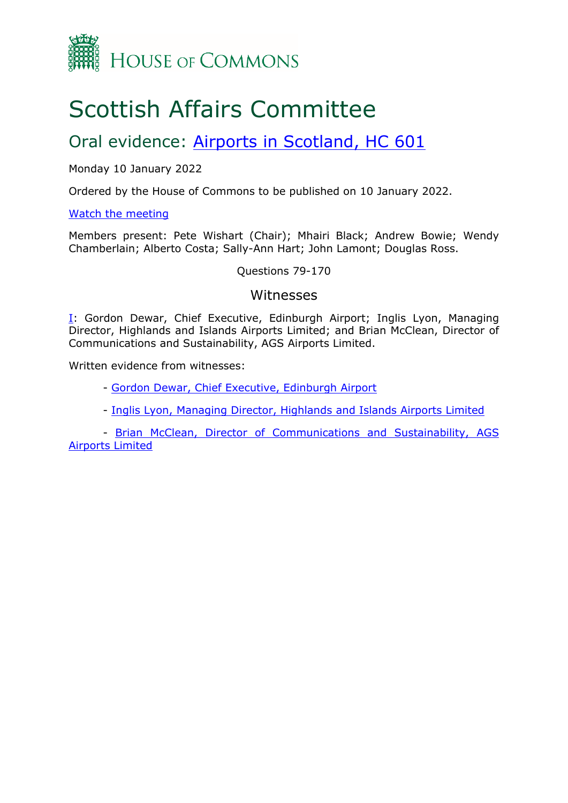

# Scottish Affairs Committee

## Oral evidence: [Airports](https://committees.parliament.uk/work/1420/airports-in-scotland/) [in](https://committees.parliament.uk/work/1420/airports-in-scotland/) [Scotland,](https://committees.parliament.uk/work/1420/airports-in-scotland/) [HC](https://committees.parliament.uk/work/1420/airports-in-scotland/) [601](https://committees.parliament.uk/work/1420/airports-in-scotland/)

#### Monday 10 January 2022

Ordered by the House of Commons to be published on 10 January 2022.

#### [Watch](https://parliamentlive.tv/event/index/46bae903-5e6f-4e32-a7fa-0e1097a4dd39) [the](https://parliamentlive.tv/event/index/46bae903-5e6f-4e32-a7fa-0e1097a4dd39) [meeting](https://parliamentlive.tv/event/index/46bae903-5e6f-4e32-a7fa-0e1097a4dd39)

Members present: Pete Wishart (Chair); Mhairi Black; Andrew Bowie; Wendy Chamberlain; Alberto Costa; Sally-Ann Hart; John Lamont; Douglas Ross.

Questions 79-170

#### Witnesses

[I:](#page-1-0) Gordon Dewar, Chief Executive, Edinburgh Airport; Inglis Lyon, Managing Director, Highlands and Islands Airports Limited; and Brian McClean, Director of Communications and Sustainability, AGS Airports Limited.

Written evidence from witnesses:

- [Gordon](https://committees.parliament.uk/writtenevidence/39833/pdf/) [Dewar,](https://committees.parliament.uk/writtenevidence/39833/pdf/) [Chief](https://committees.parliament.uk/writtenevidence/39833/pdf/) [Executive,](https://committees.parliament.uk/writtenevidence/39833/pdf/) [Edinburgh](https://committees.parliament.uk/writtenevidence/39833/pdf/) [Airport](https://committees.parliament.uk/writtenevidence/39833/pdf/)
- [Inglis](https://committees.parliament.uk/writtenevidence/40502/pdf/) [Lyon,](https://committees.parliament.uk/writtenevidence/40502/pdf/) [Managing](https://committees.parliament.uk/writtenevidence/40502/pdf/) [Director,](https://committees.parliament.uk/writtenevidence/40502/pdf/) [Highlands](https://committees.parliament.uk/writtenevidence/40502/pdf/) [and](https://committees.parliament.uk/writtenevidence/40502/pdf/) [Islands](https://committees.parliament.uk/writtenevidence/40502/pdf/) [Airports](https://committees.parliament.uk/writtenevidence/40502/pdf/) [Limited](https://committees.parliament.uk/writtenevidence/40502/pdf/)

- [Brian](https://committees.parliament.uk/writtenevidence/39900/pdf/) [McClean,](https://committees.parliament.uk/writtenevidence/39900/pdf/) [Director](https://committees.parliament.uk/writtenevidence/39900/pdf/) [of](https://committees.parliament.uk/writtenevidence/39900/pdf/) [Communications](https://committees.parliament.uk/writtenevidence/39900/pdf/) [and](https://committees.parliament.uk/writtenevidence/39900/pdf/) [Sustainability,](https://committees.parliament.uk/writtenevidence/39900/pdf/) [AGS](https://committees.parliament.uk/writtenevidence/39900/pdf/) [Airports](https://committees.parliament.uk/writtenevidence/39900/pdf/) [Limited](https://committees.parliament.uk/writtenevidence/39900/pdf/)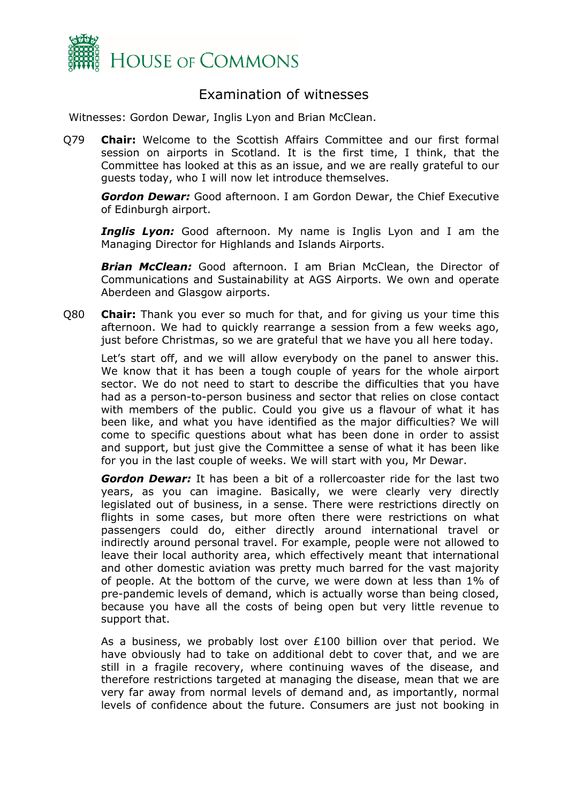

### <span id="page-1-0"></span>Examination of witnesses

Witnesses: Gordon Dewar, Inglis Lyon and Brian McClean.

Q79 **Chair:** Welcome to the Scottish Affairs Committee and our first formal session on airports in Scotland. It is the first time, I think, that the Committee has looked at this as an issue, and we are really grateful to our guests today, who I will now let introduce themselves.

*Gordon Dewar:* Good afternoon. I am Gordon Dewar, the Chief Executive of Edinburgh airport.

**Inglis Lyon:** Good afternoon. My name is Inglis Lyon and I am the Managing Director for Highlands and Islands Airports.

*Brian McClean:* Good afternoon. I am Brian McClean, the Director of Communications and Sustainability at AGS Airports. We own and operate Aberdeen and Glasgow airports.

Q80 **Chair:** Thank you ever so much for that, and for giving us your time this afternoon. We had to quickly rearrange a session from a few weeks ago, just before Christmas, so we are grateful that we have you all here today.

Let's start off, and we will allow everybody on the panel to answer this. We know that it has been a tough couple of years for the whole airport sector. We do not need to start to describe the difficulties that you have had as a person-to-person business and sector that relies on close contact with members of the public. Could you give us a flavour of what it has been like, and what you have identified as the major difficulties? We will come to specific questions about what has been done in order to assist and support, but just give the Committee a sense of what it has been like for you in the last couple of weeks. We will start with you, Mr Dewar.

*Gordon Dewar:* It has been a bit of a rollercoaster ride for the last two years, as you can imagine. Basically, we were clearly very directly legislated out of business, in a sense. There were restrictions directly on flights in some cases, but more often there were restrictions on what passengers could do, either directly around international travel or indirectly around personal travel. For example, people were not allowed to leave their local authority area, which effectively meant that international and other domestic aviation was pretty much barred for the vast majority of people. At the bottom of the curve, we were down at less than 1% of pre-pandemic levels of demand, which is actually worse than being closed, because you have all the costs of being open but very little revenue to support that.

As a business, we probably lost over £100 billion over that period. We have obviously had to take on additional debt to cover that, and we are still in a fragile recovery, where continuing waves of the disease, and therefore restrictions targeted at managing the disease, mean that we are very far away from normal levels of demand and, as importantly, normal levels of confidence about the future. Consumers are just not booking in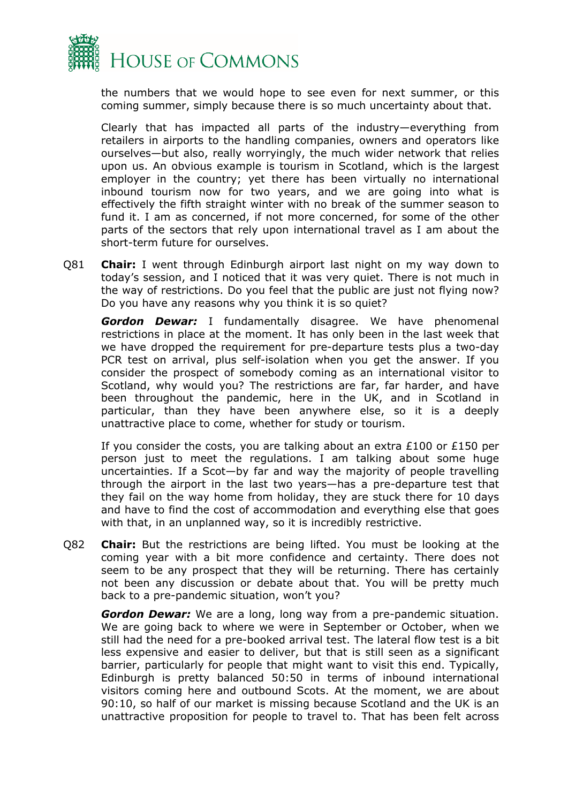

the numbers that we would hope to see even for next summer, or this coming summer, simply because there is so much uncertainty about that.

Clearly that has impacted all parts of the industry—everything from retailers in airports to the handling companies, owners and operators like ourselves—but also, really worryingly, the much wider network that relies upon us. An obvious example is tourism in Scotland, which is the largest employer in the country; yet there has been virtually no international inbound tourism now for two years, and we are going into what is effectively the fifth straight winter with no break of the summer season to fund it. I am as concerned, if not more concerned, for some of the other parts of the sectors that rely upon international travel as I am about the short-term future for ourselves.

Q81 **Chair:** I went through Edinburgh airport last night on my way down to today's session, and I noticed that it was very quiet. There is not much in the way of restrictions. Do you feel that the public are just not flying now? Do you have any reasons why you think it is so quiet?

*Gordon Dewar:* I fundamentally disagree. We have phenomenal restrictions in place at the moment. It has only been in the last week that we have dropped the requirement for pre-departure tests plus a two-day PCR test on arrival, plus self-isolation when you get the answer. If you consider the prospect of somebody coming as an international visitor to Scotland, why would you? The restrictions are far, far harder, and have been throughout the pandemic, here in the UK, and in Scotland in particular, than they have been anywhere else, so it is a deeply unattractive place to come, whether for study or tourism.

If you consider the costs, you are talking about an extra  $£100$  or  $£150$  per person just to meet the regulations. I am talking about some huge uncertainties. If a Scot—by far and way the majority of people travelling through the airport in the last two years—has a pre-departure test that they fail on the way home from holiday, they are stuck there for 10 days and have to find the cost of accommodation and everything else that goes with that, in an unplanned way, so it is incredibly restrictive.

Q82 **Chair:** But the restrictions are being lifted. You must be looking at the coming year with a bit more confidence and certainty. There does not seem to be any prospect that they will be returning. There has certainly not been any discussion or debate about that. You will be pretty much back to a pre-pandemic situation, won't you?

*Gordon Dewar:* We are a long, long way from a pre-pandemic situation. We are going back to where we were in September or October, when we still had the need for a pre-booked arrival test. The lateral flow test is a bit less expensive and easier to deliver, but that is still seen as a significant barrier, particularly for people that might want to visit this end. Typically, Edinburgh is pretty balanced 50:50 in terms of inbound international visitors coming here and outbound Scots. At the moment, we are about 90:10, so half of our market is missing because Scotland and the UK is an unattractive proposition for people to travel to. That has been felt across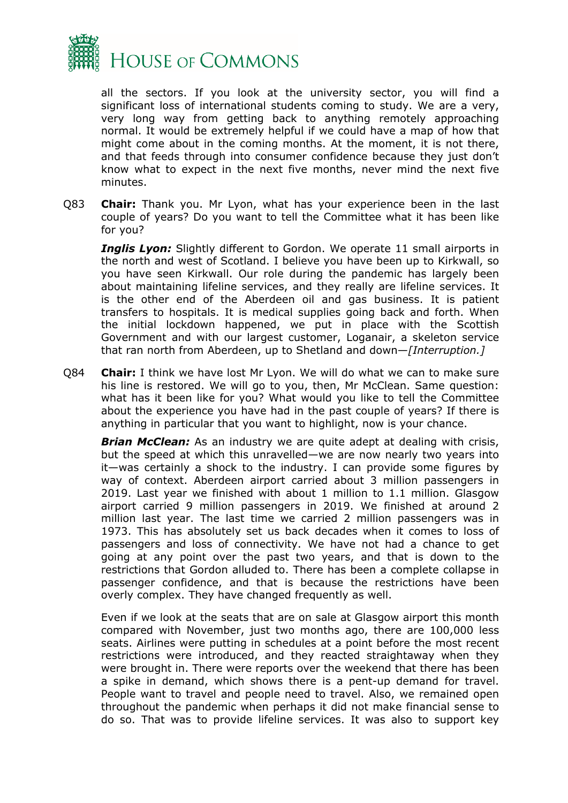

all the sectors. If you look at the university sector, you will find a significant loss of international students coming to study. We are a very, very long way from getting back to anything remotely approaching normal. It would be extremely helpful if we could have a map of how that might come about in the coming months. At the moment, it is not there, and that feeds through into consumer confidence because they just don't know what to expect in the next five months, never mind the next five minutes.

Q83 **Chair:** Thank you. Mr Lyon, what has your experience been in the last couple of years? Do you want to tell the Committee what it has been like for you?

*Inglis Lyon:* Slightly different to Gordon. We operate 11 small airports in the north and west of Scotland. I believe you have been up to Kirkwall, so you have seen Kirkwall. Our role during the pandemic has largely been about maintaining lifeline services, and they really are lifeline services. It is the other end of the Aberdeen oil and gas business. It is patient transfers to hospitals. It is medical supplies going back and forth. When the initial lockdown happened, we put in place with the Scottish Government and with our largest customer, Loganair, a skeleton service that ran north from Aberdeen, up to Shetland and down—*[Interruption.]*

Q84 **Chair:** I think we have lost Mr Lyon. We will do what we can to make sure his line is restored. We will go to you, then, Mr McClean. Same question: what has it been like for you? What would you like to tell the Committee about the experience you have had in the past couple of years? If there is anything in particular that you want to highlight, now is your chance.

**Brian McClean:** As an industry we are quite adept at dealing with crisis, but the speed at which this unravelled—we are now nearly two years into it—was certainly a shock to the industry. I can provide some figures by way of context. Aberdeen airport carried about 3 million passengers in 2019. Last year we finished with about 1 million to 1.1 million. Glasgow airport carried 9 million passengers in 2019. We finished at around 2 million last year. The last time we carried 2 million passengers was in 1973. This has absolutely set us back decades when it comes to loss of passengers and loss of connectivity. We have not had a chance to get going at any point over the past two years, and that is down to the restrictions that Gordon alluded to. There has been a complete collapse in passenger confidence, and that is because the restrictions have been overly complex. They have changed frequently as well.

Even if we look at the seats that are on sale at Glasgow airport this month compared with November, just two months ago, there are 100,000 less seats. Airlines were putting in schedules at a point before the most recent restrictions were introduced, and they reacted straightaway when they were brought in. There were reports over the weekend that there has been a spike in demand, which shows there is a pent-up demand for travel. People want to travel and people need to travel. Also, we remained open throughout the pandemic when perhaps it did not make financial sense to do so. That was to provide lifeline services. It was also to support key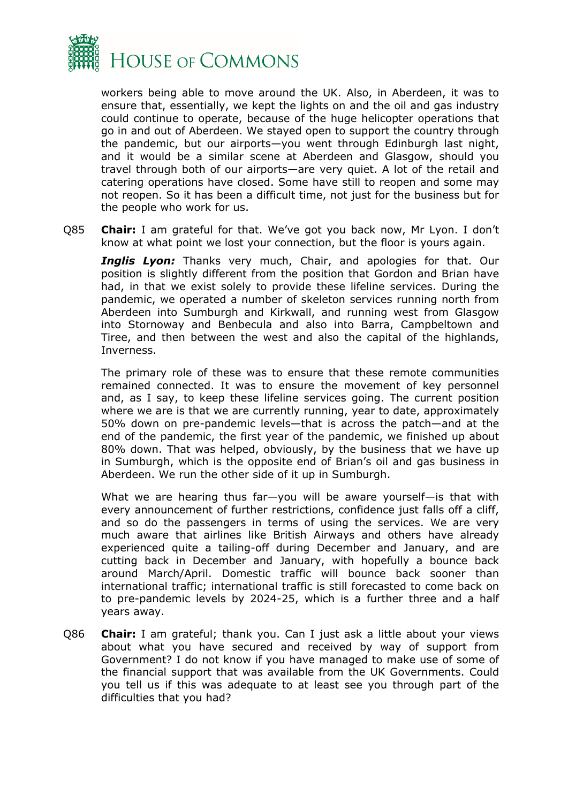

workers being able to move around the UK. Also, in Aberdeen, it was to ensure that, essentially, we kept the lights on and the oil and gas industry could continue to operate, because of the huge helicopter operations that go in and out of Aberdeen. We stayed open to support the country through the pandemic, but our airports—you went through Edinburgh last night, and it would be a similar scene at Aberdeen and Glasgow, should you travel through both of our airports—are very quiet. A lot of the retail and catering operations have closed. Some have still to reopen and some may not reopen. So it has been a difficult time, not just for the business but for the people who work for us.

Q85 **Chair:** I am grateful for that. We've got you back now, Mr Lyon. I don't know at what point we lost your connection, but the floor is yours again.

**Inglis Lyon:** Thanks very much, Chair, and apologies for that. Our position is slightly different from the position that Gordon and Brian have had, in that we exist solely to provide these lifeline services. During the pandemic, we operated a number of skeleton services running north from Aberdeen into Sumburgh and Kirkwall, and running west from Glasgow into Stornoway and Benbecula and also into Barra, Campbeltown and Tiree, and then between the west and also the capital of the highlands, Inverness.

The primary role of these was to ensure that these remote communities remained connected. It was to ensure the movement of key personnel and, as I say, to keep these lifeline services going. The current position where we are is that we are currently running, year to date, approximately 50% down on pre-pandemic levels—that is across the patch—and at the end of the pandemic, the first year of the pandemic, we finished up about 80% down. That was helped, obviously, by the business that we have up in Sumburgh, which is the opposite end of Brian's oil and gas business in Aberdeen. We run the other side of it up in Sumburgh.

What we are hearing thus far—you will be aware yourself—is that with every announcement of further restrictions, confidence just falls off a cliff, and so do the passengers in terms of using the services. We are very much aware that airlines like British Airways and others have already experienced quite a tailing-off during December and January, and are cutting back in December and January, with hopefully a bounce back around March/April. Domestic traffic will bounce back sooner than international traffic; international traffic is still forecasted to come back on to pre-pandemic levels by 2024-25, which is a further three and a half years away.

Q86 **Chair:** I am grateful; thank you. Can I just ask a little about your views about what you have secured and received by way of support from Government? I do not know if you have managed to make use of some of the financial support that was available from the UK Governments. Could you tell us if this was adequate to at least see you through part of the difficulties that you had?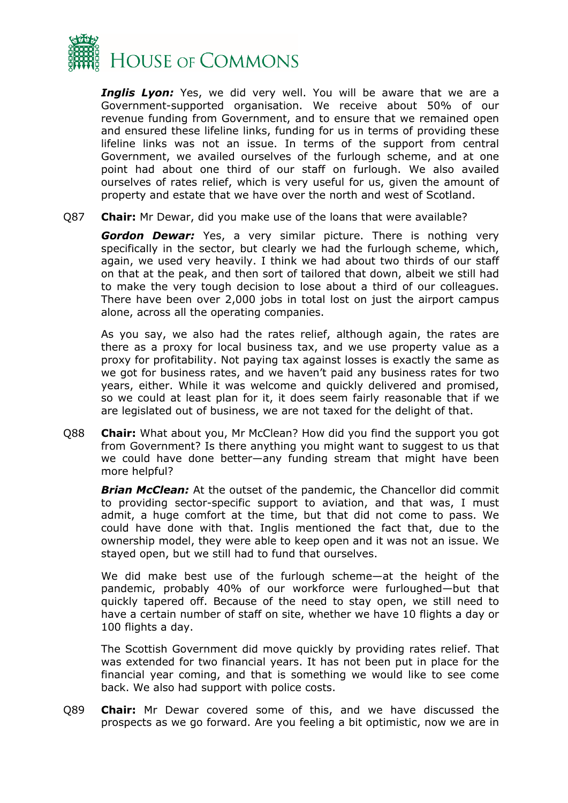

*Inglis Lyon:* Yes, we did very well. You will be aware that we are a Government-supported organisation. We receive about 50% of our revenue funding from Government, and to ensure that we remained open and ensured these lifeline links, funding for us in terms of providing these lifeline links was not an issue. In terms of the support from central Government, we availed ourselves of the furlough scheme, and at one point had about one third of our staff on furlough. We also availed ourselves of rates relief, which is very useful for us, given the amount of property and estate that we have over the north and west of Scotland.

Q87 **Chair:** Mr Dewar, did you make use of the loans that were available?

*Gordon Dewar:* Yes, a very similar picture. There is nothing very specifically in the sector, but clearly we had the furlough scheme, which, again, we used very heavily. I think we had about two thirds of our staff on that at the peak, and then sort of tailored that down, albeit we still had to make the very tough decision to lose about a third of our colleagues. There have been over 2,000 jobs in total lost on just the airport campus alone, across all the operating companies.

As you say, we also had the rates relief, although again, the rates are there as a proxy for local business tax, and we use property value as a proxy for profitability. Not paying tax against losses is exactly the same as we got for business rates, and we haven't paid any business rates for two years, either. While it was welcome and quickly delivered and promised, so we could at least plan for it, it does seem fairly reasonable that if we are legislated out of business, we are not taxed for the delight of that.

Q88 **Chair:** What about you, Mr McClean? How did you find the support you got from Government? Is there anything you might want to suggest to us that we could have done better—any funding stream that might have been more helpful?

*Brian McClean:* At the outset of the pandemic, the Chancellor did commit to providing sector-specific support to aviation, and that was, I must admit, a huge comfort at the time, but that did not come to pass. We could have done with that. Inglis mentioned the fact that, due to the ownership model, they were able to keep open and it was not an issue. We stayed open, but we still had to fund that ourselves.

We did make best use of the furlough scheme—at the height of the pandemic, probably 40% of our workforce were furloughed—but that quickly tapered off. Because of the need to stay open, we still need to have a certain number of staff on site, whether we have 10 flights a day or 100 flights a day.

The Scottish Government did move quickly by providing rates relief. That was extended for two financial years. It has not been put in place for the financial year coming, and that is something we would like to see come back. We also had support with police costs.

Q89 **Chair:** Mr Dewar covered some of this, and we have discussed the prospects as we go forward. Are you feeling a bit optimistic, now we are in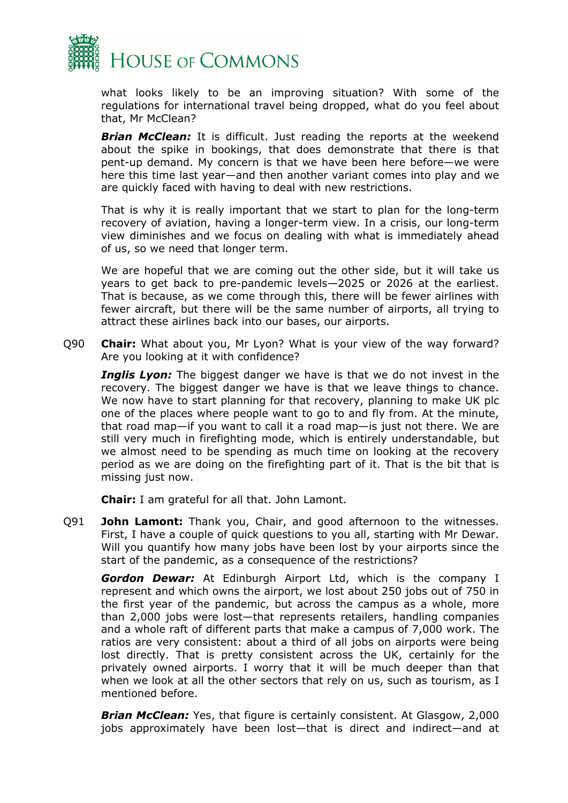

what looks likely to be an improving situation? With some of the regulations for international travel being dropped, what do you feel about that, Mr McClean?

*Brian McClean:* It is difficult. Just reading the reports at the weekend about the spike in bookings, that does demonstrate that there is that pent-up demand. My concern is that we have been here before—we were here this time last year—and then another variant comes into play and we are quickly faced with having to deal with new restrictions.

That is why it is really important that we start to plan for the long-term recovery of aviation, having a longer-term view. In a crisis, our long-term view diminishes and we focus on dealing with what is immediately ahead of us, so we need that longer term.

We are hopeful that we are coming out the other side, but it will take us years to get back to pre-pandemic levels—2025 or 2026 at the earliest. That is because, as we come through this, there will be fewer airlines with fewer aircraft, but there will be the same number of airports, all trying to attract these airlines back into our bases, our airports.

Q90 **Chair:** What about you, Mr Lyon? What is your view of the way forward? Are you looking at it with confidence?

**Inglis Lyon:** The biggest danger we have is that we do not invest in the recovery. The biggest danger we have is that we leave things to chance. We now have to start planning for that recovery, planning to make UK plc one of the places where people want to go to and fly from. At the minute, that road map—if you want to call it a road map—is just not there. We are still very much in firefighting mode, which is entirely understandable, but we almost need to be spending as much time on looking at the recovery period as we are doing on the firefighting part of it. That is the bit that is missing just now.

**Chair:** I am grateful for all that. John Lamont.

Q91 **John Lamont:** Thank you, Chair, and good afternoon to the witnesses. First, I have a couple of quick questions to you all, starting with Mr Dewar. Will you quantify how many jobs have been lost by your airports since the start of the pandemic, as a consequence of the restrictions?

*Gordon Dewar:* At Edinburgh Airport Ltd, which is the company I represent and which owns the airport, we lost about 250 jobs out of 750 in the first year of the pandemic, but across the campus as a whole, more than 2,000 jobs were lost—that represents retailers, handling companies and a whole raft of different parts that make a campus of 7,000 work. The ratios are very consistent: about a third of all jobs on airports were being lost directly. That is pretty consistent across the UK, certainly for the privately owned airports. I worry that it will be much deeper than that when we look at all the other sectors that rely on us, such as tourism, as I mentioned before.

*Brian McClean:* Yes, that figure is certainly consistent. At Glasgow, 2,000 jobs approximately have been lost—that is direct and indirect—and at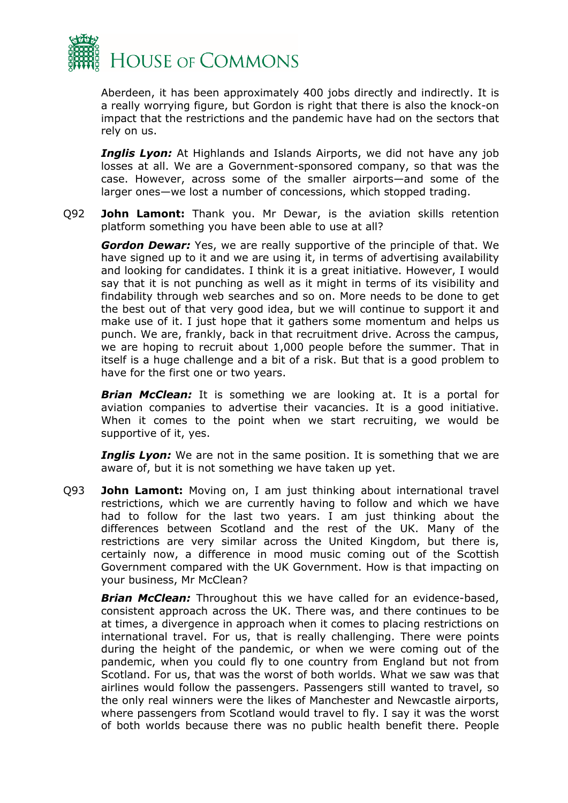

Aberdeen, it has been approximately 400 jobs directly and indirectly. It is a really worrying figure, but Gordon is right that there is also the knock-on impact that the restrictions and the pandemic have had on the sectors that rely on us.

**Inglis Lyon:** At Highlands and Islands Airports, we did not have any job losses at all. We are a Government-sponsored company, so that was the case. However, across some of the smaller airports—and some of the larger ones—we lost a number of concessions, which stopped trading.

Q92 **John Lamont:** Thank you. Mr Dewar, is the aviation skills retention platform something you have been able to use at all?

*Gordon Dewar:* Yes, we are really supportive of the principle of that. We have signed up to it and we are using it, in terms of advertising availability and looking for candidates. I think it is a great initiative. However, I would say that it is not punching as well as it might in terms of its visibility and findability through web searches and so on. More needs to be done to get the best out of that very good idea, but we will continue to support it and make use of it. I just hope that it gathers some momentum and helps us punch. We are, frankly, back in that recruitment drive. Across the campus, we are hoping to recruit about 1,000 people before the summer. That in itself is a huge challenge and a bit of a risk. But that is a good problem to have for the first one or two years.

*Brian McClean:* It is something we are looking at. It is a portal for aviation companies to advertise their vacancies. It is a good initiative. When it comes to the point when we start recruiting, we would be supportive of it, yes.

*Inglis Lyon:* We are not in the same position. It is something that we are aware of, but it is not something we have taken up yet.

Q93 **John Lamont:** Moving on, I am just thinking about international travel restrictions, which we are currently having to follow and which we have had to follow for the last two years. I am just thinking about the differences between Scotland and the rest of the UK. Many of the restrictions are very similar across the United Kingdom, but there is, certainly now, a difference in mood music coming out of the Scottish Government compared with the UK Government. How is that impacting on your business, Mr McClean?

*Brian McClean:* Throughout this we have called for an evidence-based, consistent approach across the UK. There was, and there continues to be at times, a divergence in approach when it comes to placing restrictions on international travel. For us, that is really challenging. There were points during the height of the pandemic, or when we were coming out of the pandemic, when you could fly to one country from England but not from Scotland. For us, that was the worst of both worlds. What we saw was that airlines would follow the passengers. Passengers still wanted to travel, so the only real winners were the likes of Manchester and Newcastle airports, where passengers from Scotland would travel to fly. I say it was the worst of both worlds because there was no public health benefit there. People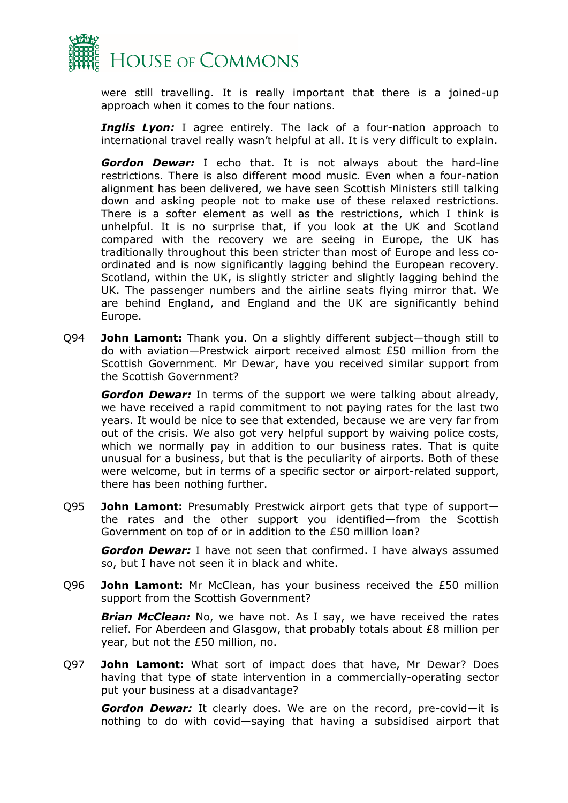

were still travelling. It is really important that there is a joined-up approach when it comes to the four nations.

**Inglis Lyon:** I agree entirely. The lack of a four-nation approach to international travel really wasn't helpful at all. It is very difficult to explain.

*Gordon Dewar:* I echo that. It is not always about the hard-line restrictions. There is also different mood music. Even when a four-nation alignment has been delivered, we have seen Scottish Ministers still talking down and asking people not to make use of these relaxed restrictions. There is a softer element as well as the restrictions, which I think is unhelpful. It is no surprise that, if you look at the UK and Scotland compared with the recovery we are seeing in Europe, the UK has traditionally throughout this been stricter than most of Europe and less coordinated and is now significantly lagging behind the European recovery. Scotland, within the UK, is slightly stricter and slightly lagging behind the UK. The passenger numbers and the airline seats flying mirror that. We are behind England, and England and the UK are significantly behind Europe.

Q94 **John Lamont:** Thank you. On a slightly different subject—though still to do with aviation—Prestwick airport received almost £50 million from the Scottish Government. Mr Dewar, have you received similar support from the Scottish Government?

*Gordon Dewar:* In terms of the support we were talking about already, we have received a rapid commitment to not paying rates for the last two years. It would be nice to see that extended, because we are very far from out of the crisis. We also got very helpful support by waiving police costs, which we normally pay in addition to our business rates. That is quite unusual for a business, but that is the peculiarity of airports. Both of these were welcome, but in terms of a specific sector or airport-related support, there has been nothing further.

Q95 **John Lamont:** Presumably Prestwick airport gets that type of support the rates and the other support you identified—from the Scottish Government on top of or in addition to the £50 million loan?

*Gordon Dewar:* I have not seen that confirmed. I have always assumed so, but I have not seen it in black and white.

Q96 **John Lamont:** Mr McClean, has your business received the £50 million support from the Scottish Government?

*Brian McClean:* No, we have not. As I say, we have received the rates relief. For Aberdeen and Glasgow, that probably totals about £8 million per year, but not the £50 million, no.

Q97 **John Lamont:** What sort of impact does that have, Mr Dewar? Does having that type of state intervention in a commercially-operating sector put your business at a disadvantage?

*Gordon Dewar:* It clearly does. We are on the record, pre-covid—it is nothing to do with covid—saying that having a subsidised airport that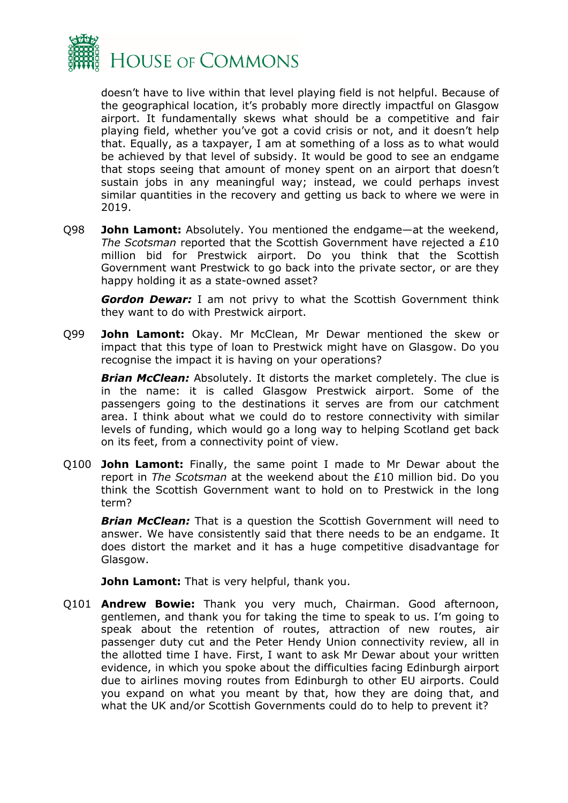

doesn't have to live within that level playing field is not helpful. Because of the geographical location, it's probably more directly impactful on Glasgow airport. It fundamentally skews what should be a competitive and fair playing field, whether you've got a covid crisis or not, and it doesn't help that. Equally, as a taxpayer, I am at something of a loss as to what would be achieved by that level of subsidy. It would be good to see an endgame that stops seeing that amount of money spent on an airport that doesn't sustain jobs in any meaningful way; instead, we could perhaps invest similar quantities in the recovery and getting us back to where we were in 2019.

Q98 **John Lamont:** Absolutely. You mentioned the endgame—at the weekend, *The Scotsman* reported that the Scottish Government have rejected a £10 million bid for Prestwick airport. Do you think that the Scottish Government want Prestwick to go back into the private sector, or are they happy holding it as a state-owned asset?

*Gordon Dewar:* I am not privy to what the Scottish Government think they want to do with Prestwick airport.

Q99 **John Lamont:** Okay. Mr McClean, Mr Dewar mentioned the skew or impact that this type of loan to Prestwick might have on Glasgow. Do you recognise the impact it is having on your operations?

*Brian McClean:* Absolutely. It distorts the market completely. The clue is in the name: it is called Glasgow Prestwick airport. Some of the passengers going to the destinations it serves are from our catchment area. I think about what we could do to restore connectivity with similar levels of funding, which would go a long way to helping Scotland get back on its feet, from a connectivity point of view.

Q100 **John Lamont:** Finally, the same point I made to Mr Dewar about the report in *The Scotsman* at the weekend about the £10 million bid. Do you think the Scottish Government want to hold on to Prestwick in the long term?

*Brian McClean:* That is a question the Scottish Government will need to answer. We have consistently said that there needs to be an endgame. It does distort the market and it has a huge competitive disadvantage for Glasgow.

**John Lamont:** That is very helpful, thank you.

Q101 **Andrew Bowie:** Thank you very much, Chairman. Good afternoon, gentlemen, and thank you for taking the time to speak to us. I'm going to speak about the retention of routes, attraction of new routes, air passenger duty cut and the Peter Hendy Union connectivity review, all in the allotted time I have. First, I want to ask Mr Dewar about your written evidence, in which you spoke about the difficulties facing Edinburgh airport due to airlines moving routes from Edinburgh to other EU airports. Could you expand on what you meant by that, how they are doing that, and what the UK and/or Scottish Governments could do to help to prevent it?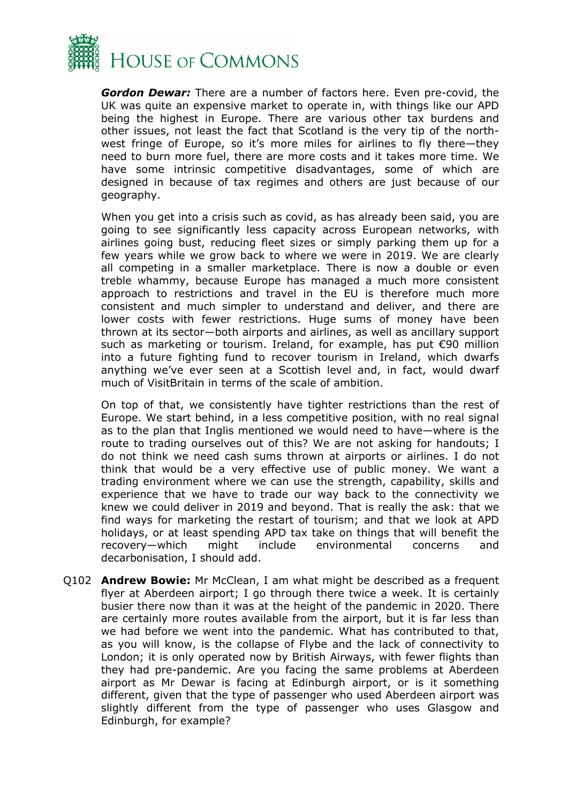

*Gordon Dewar:* There are a number of factors here. Even pre-covid, the UK was quite an expensive market to operate in, with things like our APD being the highest in Europe. There are various other tax burdens and other issues, not least the fact that Scotland is the very tip of the northwest fringe of Europe, so it's more miles for airlines to fly there—they need to burn more fuel, there are more costs and it takes more time. We have some intrinsic competitive disadvantages, some of which are designed in because of tax regimes and others are just because of our geography.

When you get into a crisis such as covid, as has already been said, you are going to see significantly less capacity across European networks, with airlines going bust, reducing fleet sizes or simply parking them up for a few years while we grow back to where we were in 2019. We are clearly all competing in a smaller marketplace. There is now a double or even treble whammy, because Europe has managed a much more consistent approach to restrictions and travel in the EU is therefore much more consistent and much simpler to understand and deliver, and there are lower costs with fewer restrictions. Huge sums of money have been thrown at its sector—both airports and airlines, as well as ancillary support such as marketing or tourism. Ireland, for example, has put €90 million into a future fighting fund to recover tourism in Ireland, which dwarfs anything we've ever seen at a Scottish level and, in fact, would dwarf much of VisitBritain in terms of the scale of ambition.

On top of that, we consistently have tighter restrictions than the rest of Europe. We start behind, in a less competitive position, with no real signal as to the plan that Inglis mentioned we would need to have—where is the route to trading ourselves out of this? We are not asking for handouts; I do not think we need cash sums thrown at airports or airlines. I do not think that would be a very effective use of public money. We want a trading environment where we can use the strength, capability, skills and experience that we have to trade our way back to the connectivity we knew we could deliver in 2019 and beyond. That is really the ask: that we find ways for marketing the restart of tourism; and that we look at APD holidays, or at least spending APD tax take on things that will benefit the recovery—which might include environmental concerns and decarbonisation, I should add.

Q102 **Andrew Bowie:** Mr McClean, I am what might be described as a frequent flyer at Aberdeen airport; I go through there twice a week. It is certainly busier there now than it was at the height of the pandemic in 2020. There are certainly more routes available from the airport, but it is far less than we had before we went into the pandemic. What has contributed to that, as you will know, is the collapse of Flybe and the lack of connectivity to London; it is only operated now by British Airways, with fewer flights than they had pre-pandemic. Are you facing the same problems at Aberdeen airport as Mr Dewar is facing at Edinburgh airport, or is it something different, given that the type of passenger who used Aberdeen airport was slightly different from the type of passenger who uses Glasgow and Edinburgh, for example?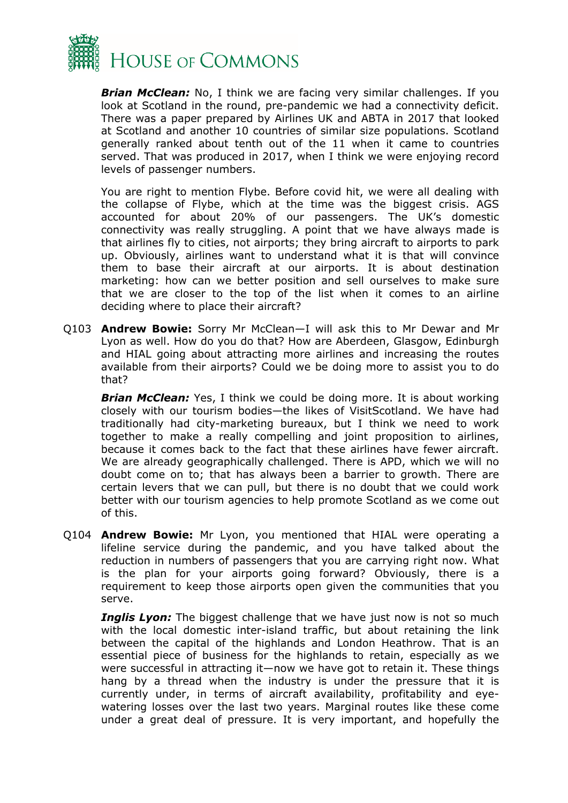

*Brian McClean:* No, I think we are facing very similar challenges. If you look at Scotland in the round, pre-pandemic we had a connectivity deficit. There was a paper prepared by Airlines UK and ABTA in 2017 that looked at Scotland and another 10 countries of similar size populations. Scotland generally ranked about tenth out of the 11 when it came to countries served. That was produced in 2017, when I think we were enjoying record levels of passenger numbers.

You are right to mention Flybe. Before covid hit, we were all dealing with the collapse of Flybe, which at the time was the biggest crisis. AGS accounted for about 20% of our passengers. The UK's domestic connectivity was really struggling. A point that we have always made is that airlines fly to cities, not airports; they bring aircraft to airports to park up. Obviously, airlines want to understand what it is that will convince them to base their aircraft at our airports. It is about destination marketing: how can we better position and sell ourselves to make sure that we are closer to the top of the list when it comes to an airline deciding where to place their aircraft?

Q103 **Andrew Bowie:** Sorry Mr McClean—I will ask this to Mr Dewar and Mr Lyon as well. How do you do that? How are Aberdeen, Glasgow, Edinburgh and HIAL going about attracting more airlines and increasing the routes available from their airports? Could we be doing more to assist you to do that?

*Brian McClean:* Yes, I think we could be doing more. It is about working closely with our tourism bodies—the likes of VisitScotland. We have had traditionally had city-marketing bureaux, but I think we need to work together to make a really compelling and joint proposition to airlines, because it comes back to the fact that these airlines have fewer aircraft. We are already geographically challenged. There is APD, which we will no doubt come on to; that has always been a barrier to growth. There are certain levers that we can pull, but there is no doubt that we could work better with our tourism agencies to help promote Scotland as we come out of this.

Q104 **Andrew Bowie:** Mr Lyon, you mentioned that HIAL were operating a lifeline service during the pandemic, and you have talked about the reduction in numbers of passengers that you are carrying right now. What is the plan for your airports going forward? Obviously, there is a requirement to keep those airports open given the communities that you serve.

*Inglis Lyon:* The biggest challenge that we have just now is not so much with the local domestic inter-island traffic, but about retaining the link between the capital of the highlands and London Heathrow. That is an essential piece of business for the highlands to retain, especially as we were successful in attracting it—now we have got to retain it. These things hang by a thread when the industry is under the pressure that it is currently under, in terms of aircraft availability, profitability and eyewatering losses over the last two years. Marginal routes like these come under a great deal of pressure. It is very important, and hopefully the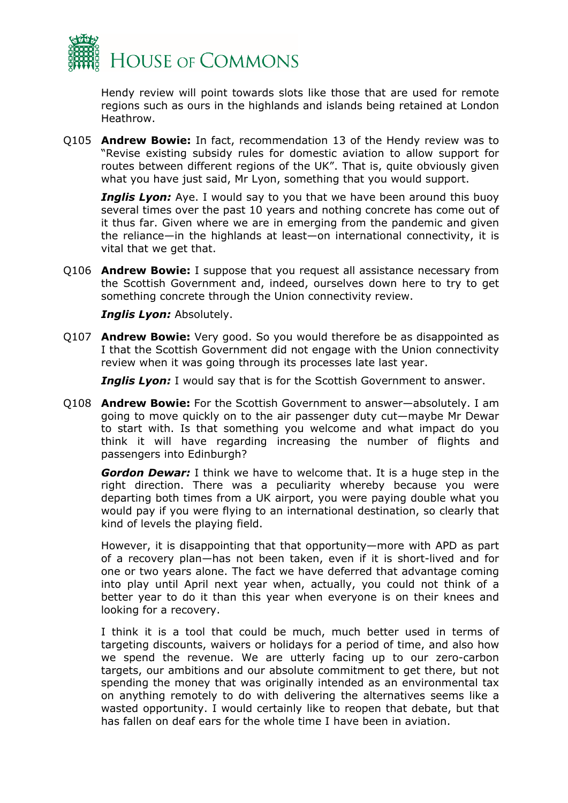

Hendy review will point towards slots like those that are used for remote regions such as ours in the highlands and islands being retained at London Heathrow.

Q105 **Andrew Bowie:** In fact, recommendation 13 of the Hendy review was to "Revise existing subsidy rules for domestic aviation to allow support for routes between different regions of the UK". That is, quite obviously given what you have just said, Mr Lyon, something that you would support.

**Inglis Lyon:** Aye. I would say to you that we have been around this buoy several times over the past 10 years and nothing concrete has come out of it thus far. Given where we are in emerging from the pandemic and given the reliance—in the highlands at least—on international connectivity, it is vital that we get that.

Q106 **Andrew Bowie:** I suppose that you request all assistance necessary from the Scottish Government and, indeed, ourselves down here to try to get something concrete through the Union connectivity review.

*Inglis Lyon:* Absolutely.

Q107 **Andrew Bowie:** Very good. So you would therefore be as disappointed as I that the Scottish Government did not engage with the Union connectivity review when it was going through its processes late last year.

**Inglis Lyon:** I would say that is for the Scottish Government to answer.

Q108 **Andrew Bowie:** For the Scottish Government to answer—absolutely. I am going to move quickly on to the air passenger duty cut—maybe Mr Dewar to start with. Is that something you welcome and what impact do you think it will have regarding increasing the number of flights and passengers into Edinburgh?

*Gordon Dewar:* I think we have to welcome that. It is a huge step in the right direction. There was a peculiarity whereby because you were departing both times from a UK airport, you were paying double what you would pay if you were flying to an international destination, so clearly that kind of levels the playing field.

However, it is disappointing that that opportunity—more with APD as part of a recovery plan—has not been taken, even if it is short-lived and for one or two years alone. The fact we have deferred that advantage coming into play until April next year when, actually, you could not think of a better year to do it than this year when everyone is on their knees and looking for a recovery.

I think it is a tool that could be much, much better used in terms of targeting discounts, waivers or holidays for a period of time, and also how we spend the revenue. We are utterly facing up to our zero-carbon targets, our ambitions and our absolute commitment to get there, but not spending the money that was originally intended as an environmental tax on anything remotely to do with delivering the alternatives seems like a wasted opportunity. I would certainly like to reopen that debate, but that has fallen on deaf ears for the whole time I have been in aviation.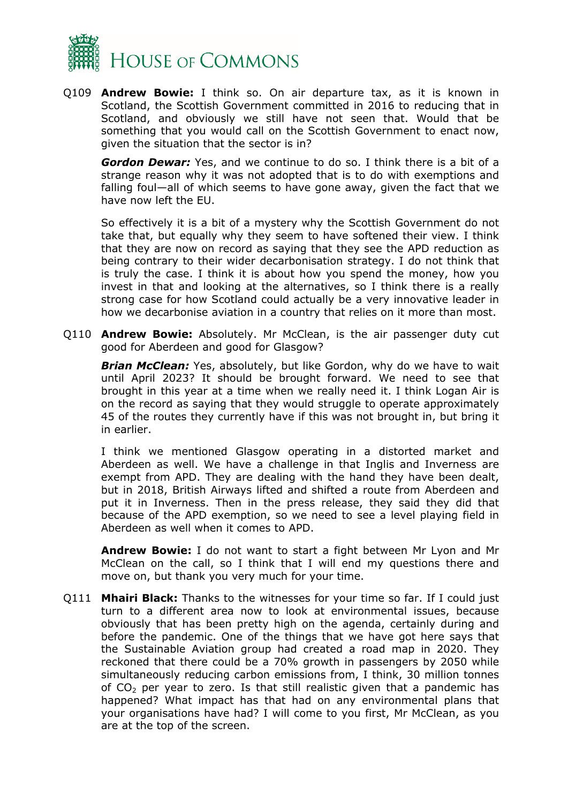

Q109 **Andrew Bowie:** I think so. On air departure tax, as it is known in Scotland, the Scottish Government committed in 2016 to reducing that in Scotland, and obviously we still have not seen that. Would that be something that you would call on the Scottish Government to enact now, given the situation that the sector is in?

*Gordon Dewar:* Yes, and we continue to do so. I think there is a bit of a strange reason why it was not adopted that is to do with exemptions and falling foul—all of which seems to have gone away, given the fact that we have now left the EU.

So effectively it is a bit of a mystery why the Scottish Government do not take that, but equally why they seem to have softened their view. I think that they are now on record as saying that they see the APD reduction as being contrary to their wider decarbonisation strategy. I do not think that is truly the case. I think it is about how you spend the money, how you invest in that and looking at the alternatives, so I think there is a really strong case for how Scotland could actually be a very innovative leader in how we decarbonise aviation in a country that relies on it more than most.

Q110 **Andrew Bowie:** Absolutely. Mr McClean, is the air passenger duty cut good for Aberdeen and good for Glasgow?

*Brian McClean:* Yes, absolutely, but like Gordon, why do we have to wait until April 2023? It should be brought forward. We need to see that brought in this year at a time when we really need it. I think Logan Air is on the record as saying that they would struggle to operate approximately 45 of the routes they currently have if this was not brought in, but bring it in earlier.

I think we mentioned Glasgow operating in a distorted market and Aberdeen as well. We have a challenge in that Inglis and Inverness are exempt from APD. They are dealing with the hand they have been dealt, but in 2018, British Airways lifted and shifted a route from Aberdeen and put it in Inverness. Then in the press release, they said they did that because of the APD exemption, so we need to see a level playing field in Aberdeen as well when it comes to APD.

**Andrew Bowie:** I do not want to start a fight between Mr Lyon and Mr McClean on the call, so I think that I will end my questions there and move on, but thank you very much for your time.

Q111 **Mhairi Black:** Thanks to the witnesses for your time so far. If I could just turn to a different area now to look at environmental issues, because obviously that has been pretty high on the agenda, certainly during and before the pandemic. One of the things that we have got here says that the Sustainable Aviation group had created a road map in 2020. They reckoned that there could be a 70% growth in passengers by 2050 while simultaneously reducing carbon emissions from, I think, 30 million tonnes of  $CO<sub>2</sub>$  per year to zero. Is that still realistic given that a pandemic has happened? What impact has that had on any environmental plans that your organisations have had? I will come to you first, Mr McClean, as you are at the top of the screen.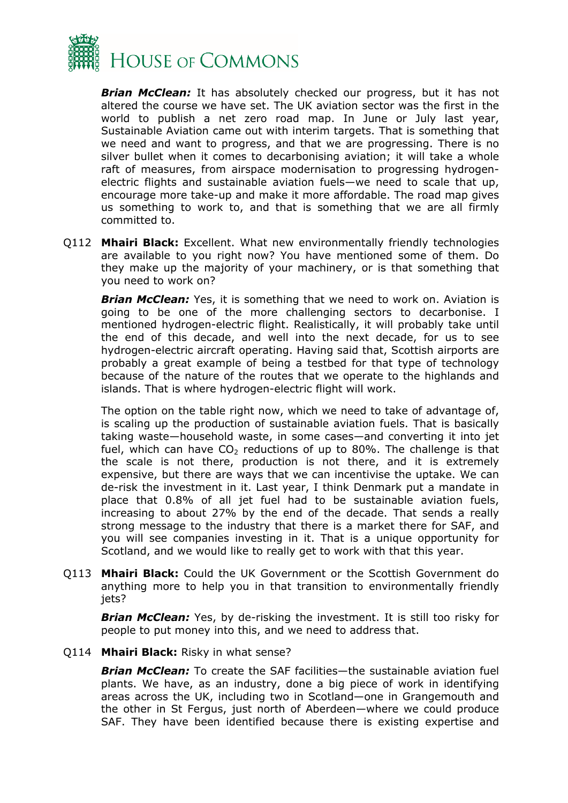

*Brian McClean:* It has absolutely checked our progress, but it has not altered the course we have set. The UK aviation sector was the first in the world to publish a net zero road map. In June or July last year, Sustainable Aviation came out with interim targets. That is something that we need and want to progress, and that we are progressing. There is no silver bullet when it comes to decarbonising aviation; it will take a whole raft of measures, from airspace modernisation to progressing hydrogenelectric flights and sustainable aviation fuels—we need to scale that up, encourage more take-up and make it more affordable. The road map gives us something to work to, and that is something that we are all firmly committed to.

Q112 **Mhairi Black:** Excellent. What new environmentally friendly technologies are available to you right now? You have mentioned some of them. Do they make up the majority of your machinery, or is that something that you need to work on?

*Brian McClean:* Yes, it is something that we need to work on. Aviation is going to be one of the more challenging sectors to decarbonise. I mentioned hydrogen-electric flight. Realistically, it will probably take until the end of this decade, and well into the next decade, for us to see hydrogen-electric aircraft operating. Having said that, Scottish airports are probably a great example of being a testbed for that type of technology because of the nature of the routes that we operate to the highlands and islands. That is where hydrogen-electric flight will work.

The option on the table right now, which we need to take of advantage of, is scaling up the production of sustainable aviation fuels. That is basically taking waste—household waste, in some cases—and converting it into jet fuel, which can have  $CO<sub>2</sub>$  reductions of up to 80%. The challenge is that the scale is not there, production is not there, and it is extremely expensive, but there are ways that we can incentivise the uptake. We can de-risk the investment in it. Last year, I think Denmark put a mandate in place that 0.8% of all jet fuel had to be sustainable aviation fuels, increasing to about 27% by the end of the decade. That sends a really strong message to the industry that there is a market there for SAF, and you will see companies investing in it. That is a unique opportunity for Scotland, and we would like to really get to work with that this year.

Q113 **Mhairi Black:** Could the UK Government or the Scottish Government do anything more to help you in that transition to environmentally friendly jets?

*Brian McClean:* Yes, by de-risking the investment. It is still too risky for people to put money into this, and we need to address that.

#### Q114 **Mhairi Black:** Risky in what sense?

*Brian McClean:* To create the SAF facilities—the sustainable aviation fuel plants. We have, as an industry, done a big piece of work in identifying areas across the UK, including two in Scotland—one in Grangemouth and the other in St Fergus, just north of Aberdeen—where we could produce SAF. They have been identified because there is existing expertise and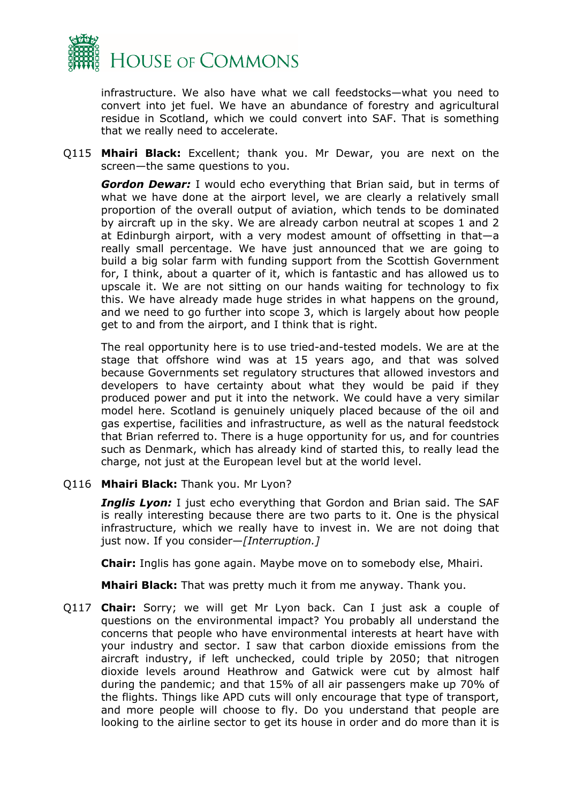

infrastructure. We also have what we call feedstocks—what you need to convert into jet fuel. We have an abundance of forestry and agricultural residue in Scotland, which we could convert into SAF. That is something that we really need to accelerate.

Q115 **Mhairi Black:** Excellent; thank you. Mr Dewar, you are next on the screen—the same questions to you.

*Gordon Dewar:* I would echo everything that Brian said, but in terms of what we have done at the airport level, we are clearly a relatively small proportion of the overall output of aviation, which tends to be dominated by aircraft up in the sky. We are already carbon neutral at scopes 1 and 2 at Edinburgh airport, with a very modest amount of offsetting in that—a really small percentage. We have just announced that we are going to build a big solar farm with funding support from the Scottish Government for, I think, about a quarter of it, which is fantastic and has allowed us to upscale it. We are not sitting on our hands waiting for technology to fix this. We have already made huge strides in what happens on the ground, and we need to go further into scope 3, which is largely about how people get to and from the airport, and I think that is right.

The real opportunity here is to use tried-and-tested models. We are at the stage that offshore wind was at 15 years ago, and that was solved because Governments set regulatory structures that allowed investors and developers to have certainty about what they would be paid if they produced power and put it into the network. We could have a very similar model here. Scotland is genuinely uniquely placed because of the oil and gas expertise, facilities and infrastructure, as well as the natural feedstock that Brian referred to. There is a huge opportunity for us, and for countries such as Denmark, which has already kind of started this, to really lead the charge, not just at the European level but at the world level.

Q116 **Mhairi Black:** Thank you. Mr Lyon?

*Inglis Lyon:* I just echo everything that Gordon and Brian said. The SAF is really interesting because there are two parts to it. One is the physical infrastructure, which we really have to invest in. We are not doing that just now. If you consider—*[Interruption.]*

**Chair:** Inglis has gone again. Maybe move on to somebody else, Mhairi.

**Mhairi Black:** That was pretty much it from me anyway. Thank you.

Q117 **Chair:** Sorry; we will get Mr Lyon back. Can I just ask a couple of questions on the environmental impact? You probably all understand the concerns that people who have environmental interests at heart have with your industry and sector. I saw that carbon dioxide emissions from the aircraft industry, if left unchecked, could triple by 2050; that nitrogen dioxide levels around Heathrow and Gatwick were cut by almost half during the pandemic; and that 15% of all air passengers make up 70% of the flights. Things like APD cuts will only encourage that type of transport, and more people will choose to fly. Do you understand that people are looking to the airline sector to get its house in order and do more than it is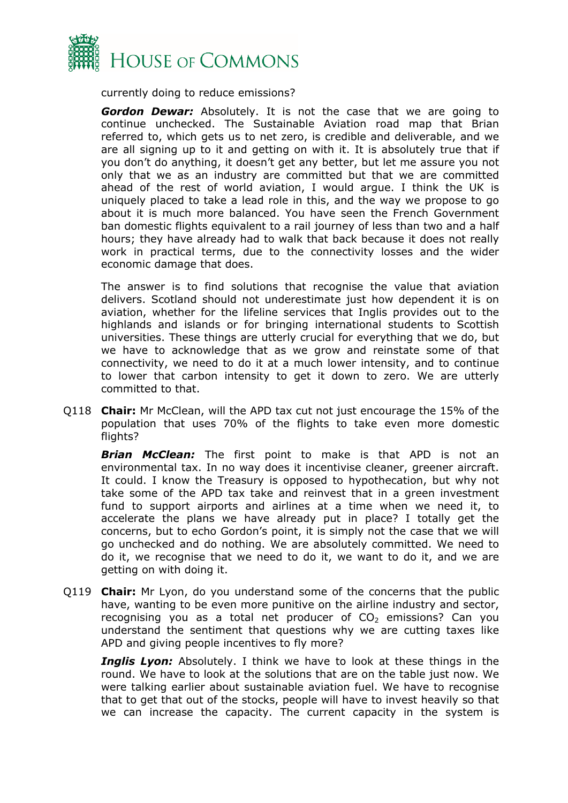

currently doing to reduce emissions?

*Gordon Dewar:* Absolutely. It is not the case that we are going to continue unchecked. The Sustainable Aviation road map that Brian referred to, which gets us to net zero, is credible and deliverable, and we are all signing up to it and getting on with it. It is absolutely true that if you don't do anything, it doesn't get any better, but let me assure you not only that we as an industry are committed but that we are committed ahead of the rest of world aviation, I would argue. I think the UK is uniquely placed to take a lead role in this, and the way we propose to go about it is much more balanced. You have seen the French Government ban domestic flights equivalent to a rail journey of less than two and a half hours; they have already had to walk that back because it does not really work in practical terms, due to the connectivity losses and the wider economic damage that does.

The answer is to find solutions that recognise the value that aviation delivers. Scotland should not underestimate just how dependent it is on aviation, whether for the lifeline services that Inglis provides out to the highlands and islands or for bringing international students to Scottish universities. These things are utterly crucial for everything that we do, but we have to acknowledge that as we grow and reinstate some of that connectivity, we need to do it at a much lower intensity, and to continue to lower that carbon intensity to get it down to zero. We are utterly committed to that.

Q118 **Chair:** Mr McClean, will the APD tax cut not just encourage the 15% of the population that uses 70% of the flights to take even more domestic flights?

*Brian McClean:* The first point to make is that APD is not an environmental tax. In no way does it incentivise cleaner, greener aircraft. It could. I know the Treasury is opposed to hypothecation, but why not take some of the APD tax take and reinvest that in a green investment fund to support airports and airlines at a time when we need it, to accelerate the plans we have already put in place? I totally get the concerns, but to echo Gordon's point, it is simply not the case that we will go unchecked and do nothing. We are absolutely committed. We need to do it, we recognise that we need to do it, we want to do it, and we are getting on with doing it.

Q119 **Chair:** Mr Lyon, do you understand some of the concerns that the public have, wanting to be even more punitive on the airline industry and sector, recognising you as a total net producer of  $CO<sub>2</sub>$  emissions? Can you understand the sentiment that questions why we are cutting taxes like APD and giving people incentives to fly more?

**Inglis Lyon:** Absolutely. I think we have to look at these things in the round. We have to look at the solutions that are on the table just now. We were talking earlier about sustainable aviation fuel. We have to recognise that to get that out of the stocks, people will have to invest heavily so that we can increase the capacity. The current capacity in the system is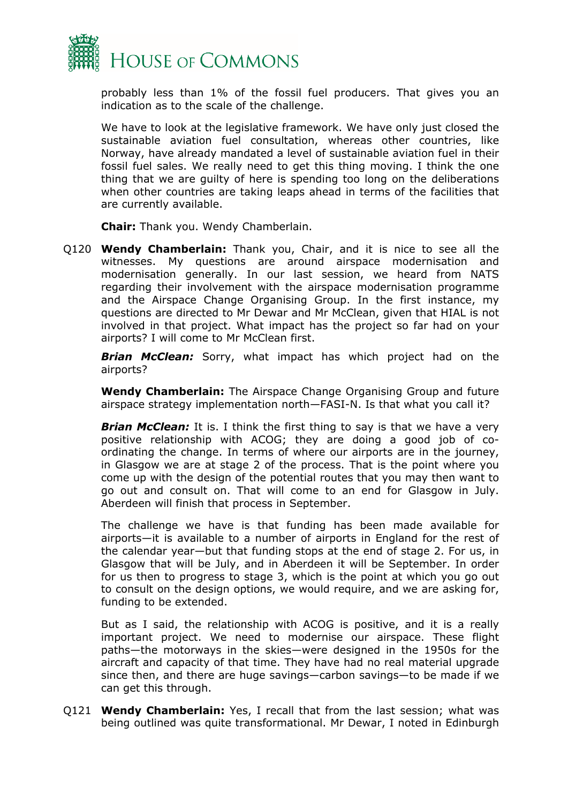

probably less than 1% of the fossil fuel producers. That gives you an indication as to the scale of the challenge.

We have to look at the legislative framework. We have only just closed the sustainable aviation fuel consultation, whereas other countries, like Norway, have already mandated a level of sustainable aviation fuel in their fossil fuel sales. We really need to get this thing moving. I think the one thing that we are guilty of here is spending too long on the deliberations when other countries are taking leaps ahead in terms of the facilities that are currently available.

**Chair:** Thank you. Wendy Chamberlain.

Q120 **Wendy Chamberlain:** Thank you, Chair, and it is nice to see all the witnesses. My questions are around airspace modernisation and modernisation generally. In our last session, we heard from NATS regarding their involvement with the airspace modernisation programme and the Airspace Change Organising Group. In the first instance, my questions are directed to Mr Dewar and Mr McClean, given that HIAL is not involved in that project. What impact has the project so far had on your airports? I will come to Mr McClean first.

*Brian McClean:* Sorry, what impact has which project had on the airports?

**Wendy Chamberlain:** The Airspace Change Organising Group and future airspace strategy implementation north—FASI-N. Is that what you call it?

**Brian McClean:** It is. I think the first thing to say is that we have a very positive relationship with ACOG; they are doing a good job of coordinating the change. In terms of where our airports are in the journey, in Glasgow we are at stage 2 of the process. That is the point where you come up with the design of the potential routes that you may then want to go out and consult on. That will come to an end for Glasgow in July. Aberdeen will finish that process in September.

The challenge we have is that funding has been made available for airports—it is available to a number of airports in England for the rest of the calendar year—but that funding stops at the end of stage 2. For us, in Glasgow that will be July, and in Aberdeen it will be September. In order for us then to progress to stage 3, which is the point at which you go out to consult on the design options, we would require, and we are asking for, funding to be extended.

But as I said, the relationship with ACOG is positive, and it is a really important project. We need to modernise our airspace. These flight paths—the motorways in the skies—were designed in the 1950s for the aircraft and capacity of that time. They have had no real material upgrade since then, and there are huge savings—carbon savings—to be made if we can get this through.

Q121 **Wendy Chamberlain:** Yes, I recall that from the last session; what was being outlined was quite transformational. Mr Dewar, I noted in Edinburgh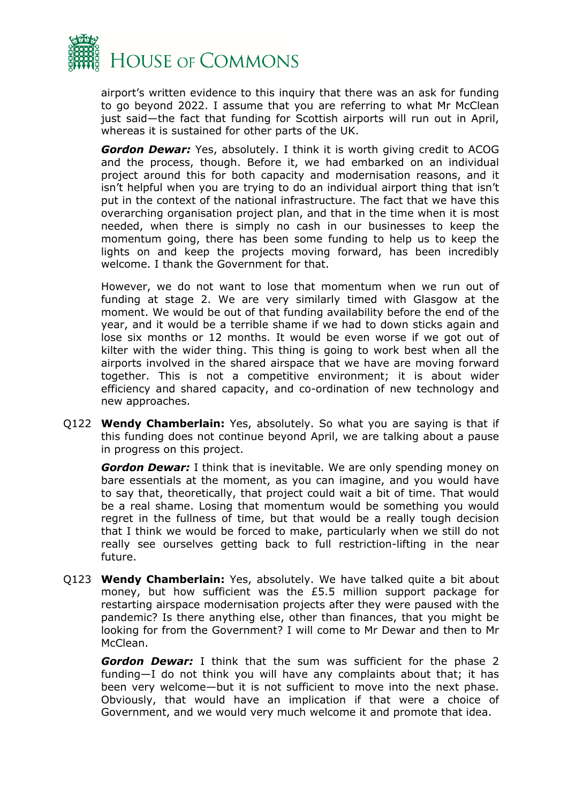

airport's written evidence to this inquiry that there was an ask for funding to go beyond 2022. I assume that you are referring to what Mr McClean just said—the fact that funding for Scottish airports will run out in April, whereas it is sustained for other parts of the UK.

*Gordon Dewar:* Yes, absolutely. I think it is worth giving credit to ACOG and the process, though. Before it, we had embarked on an individual project around this for both capacity and modernisation reasons, and it isn't helpful when you are trying to do an individual airport thing that isn't put in the context of the national infrastructure. The fact that we have this overarching organisation project plan, and that in the time when it is most needed, when there is simply no cash in our businesses to keep the momentum going, there has been some funding to help us to keep the lights on and keep the projects moving forward, has been incredibly welcome. I thank the Government for that.

However, we do not want to lose that momentum when we run out of funding at stage 2. We are very similarly timed with Glasgow at the moment. We would be out of that funding availability before the end of the year, and it would be a terrible shame if we had to down sticks again and lose six months or 12 months. It would be even worse if we got out of kilter with the wider thing. This thing is going to work best when all the airports involved in the shared airspace that we have are moving forward together. This is not a competitive environment; it is about wider efficiency and shared capacity, and co-ordination of new technology and new approaches.

Q122 **Wendy Chamberlain:** Yes, absolutely. So what you are saying is that if this funding does not continue beyond April, we are talking about a pause in progress on this project.

*Gordon Dewar:* I think that is inevitable. We are only spending money on bare essentials at the moment, as you can imagine, and you would have to say that, theoretically, that project could wait a bit of time. That would be a real shame. Losing that momentum would be something you would regret in the fullness of time, but that would be a really tough decision that I think we would be forced to make, particularly when we still do not really see ourselves getting back to full restriction-lifting in the near future.

Q123 **Wendy Chamberlain:** Yes, absolutely. We have talked quite a bit about money, but how sufficient was the £5.5 million support package for restarting airspace modernisation projects after they were paused with the pandemic? Is there anything else, other than finances, that you might be looking for from the Government? I will come to Mr Dewar and then to Mr McClean.

*Gordon Dewar:* I think that the sum was sufficient for the phase 2 funding—I do not think you will have any complaints about that; it has been very welcome—but it is not sufficient to move into the next phase. Obviously, that would have an implication if that were a choice of Government, and we would very much welcome it and promote that idea.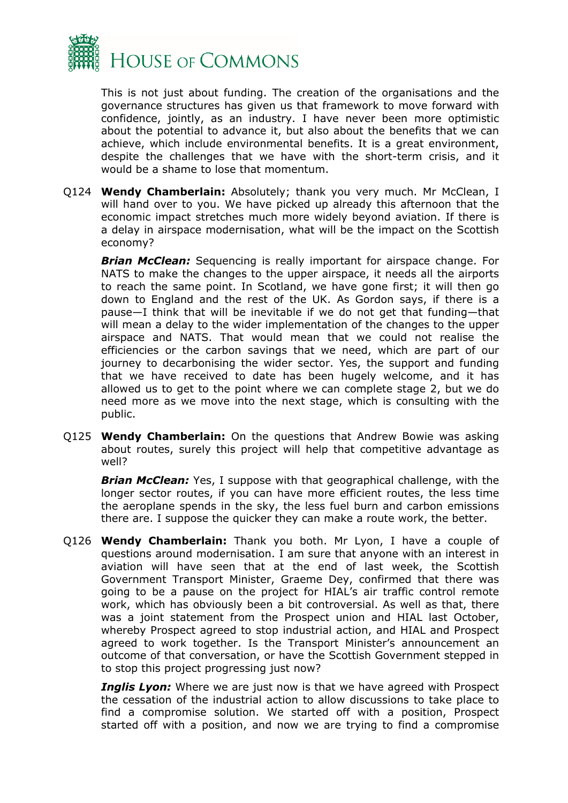

This is not just about funding. The creation of the organisations and the governance structures has given us that framework to move forward with confidence, jointly, as an industry. I have never been more optimistic about the potential to advance it, but also about the benefits that we can achieve, which include environmental benefits. It is a great environment, despite the challenges that we have with the short-term crisis, and it would be a shame to lose that momentum.

Q124 **Wendy Chamberlain:** Absolutely; thank you very much. Mr McClean, I will hand over to you. We have picked up already this afternoon that the economic impact stretches much more widely beyond aviation. If there is a delay in airspace modernisation, what will be the impact on the Scottish economy?

*Brian McClean:* Sequencing is really important for airspace change. For NATS to make the changes to the upper airspace, it needs all the airports to reach the same point. In Scotland, we have gone first; it will then go down to England and the rest of the UK. As Gordon says, if there is a pause—I think that will be inevitable if we do not get that funding—that will mean a delay to the wider implementation of the changes to the upper airspace and NATS. That would mean that we could not realise the efficiencies or the carbon savings that we need, which are part of our journey to decarbonising the wider sector. Yes, the support and funding that we have received to date has been hugely welcome, and it has allowed us to get to the point where we can complete stage 2, but we do need more as we move into the next stage, which is consulting with the public.

Q125 **Wendy Chamberlain:** On the questions that Andrew Bowie was asking about routes, surely this project will help that competitive advantage as well?

*Brian McClean:* Yes, I suppose with that geographical challenge, with the longer sector routes, if you can have more efficient routes, the less time the aeroplane spends in the sky, the less fuel burn and carbon emissions there are. I suppose the quicker they can make a route work, the better.

Q126 **Wendy Chamberlain:** Thank you both. Mr Lyon, I have a couple of questions around modernisation. I am sure that anyone with an interest in aviation will have seen that at the end of last week, the Scottish Government Transport Minister, Graeme Dey, confirmed that there was going to be a pause on the project for HIAL's air traffic control remote work, which has obviously been a bit controversial. As well as that, there was a joint statement from the Prospect union and HIAL last October, whereby Prospect agreed to stop industrial action, and HIAL and Prospect agreed to work together. Is the Transport Minister's announcement an outcome of that conversation, or have the Scottish Government stepped in to stop this project progressing just now?

*Inglis Lyon:* Where we are just now is that we have agreed with Prospect the cessation of the industrial action to allow discussions to take place to find a compromise solution. We started off with a position, Prospect started off with a position, and now we are trying to find a compromise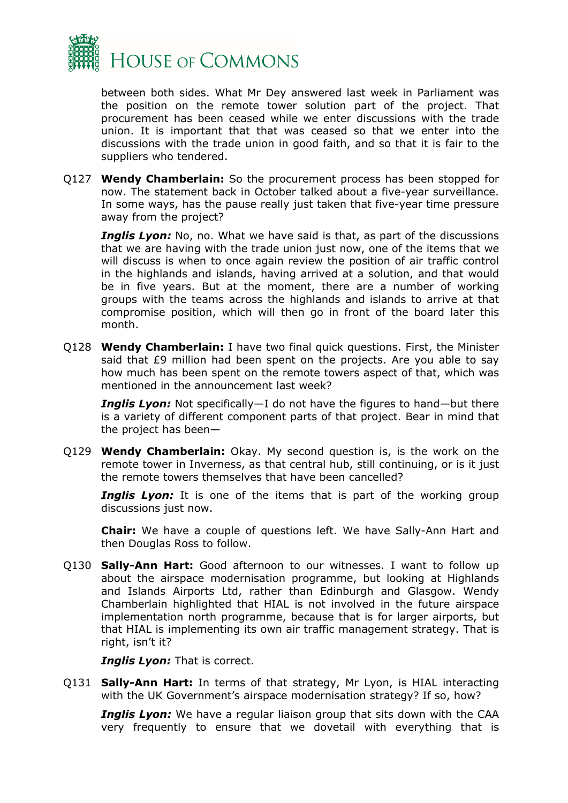

between both sides. What Mr Dey answered last week in Parliament was the position on the remote tower solution part of the project. That procurement has been ceased while we enter discussions with the trade union. It is important that that was ceased so that we enter into the discussions with the trade union in good faith, and so that it is fair to the suppliers who tendered.

Q127 **Wendy Chamberlain:** So the procurement process has been stopped for now. The statement back in October talked about a five-year surveillance. In some ways, has the pause really just taken that five-year time pressure away from the project?

*Inglis Lyon:* No, no. What we have said is that, as part of the discussions that we are having with the trade union just now, one of the items that we will discuss is when to once again review the position of air traffic control in the highlands and islands, having arrived at a solution, and that would be in five years. But at the moment, there are a number of working groups with the teams across the highlands and islands to arrive at that compromise position, which will then go in front of the board later this month.

Q128 **Wendy Chamberlain:** I have two final quick questions. First, the Minister said that £9 million had been spent on the projects. Are you able to say how much has been spent on the remote towers aspect of that, which was mentioned in the announcement last week?

*Inglis Lyon:* Not specifically—I do not have the figures to hand—but there is a variety of different component parts of that project. Bear in mind that the project has been—

Q129 **Wendy Chamberlain:** Okay. My second question is, is the work on the remote tower in Inverness, as that central hub, still continuing, or is it just the remote towers themselves that have been cancelled?

**Inglis Lyon:** It is one of the items that is part of the working group discussions just now.

**Chair:** We have a couple of questions left. We have Sally-Ann Hart and then Douglas Ross to follow.

Q130 **Sally-Ann Hart:** Good afternoon to our witnesses. I want to follow up about the airspace modernisation programme, but looking at Highlands and Islands Airports Ltd, rather than Edinburgh and Glasgow. Wendy Chamberlain highlighted that HIAL is not involved in the future airspace implementation north programme, because that is for larger airports, but that HIAL is implementing its own air traffic management strategy. That is right, isn't it?

*Inglis Lyon:* That is correct.

Q131 **Sally-Ann Hart:** In terms of that strategy, Mr Lyon, is HIAL interacting with the UK Government's airspace modernisation strategy? If so, how?

**Inglis Lyon:** We have a regular liaison group that sits down with the CAA very frequently to ensure that we dovetail with everything that is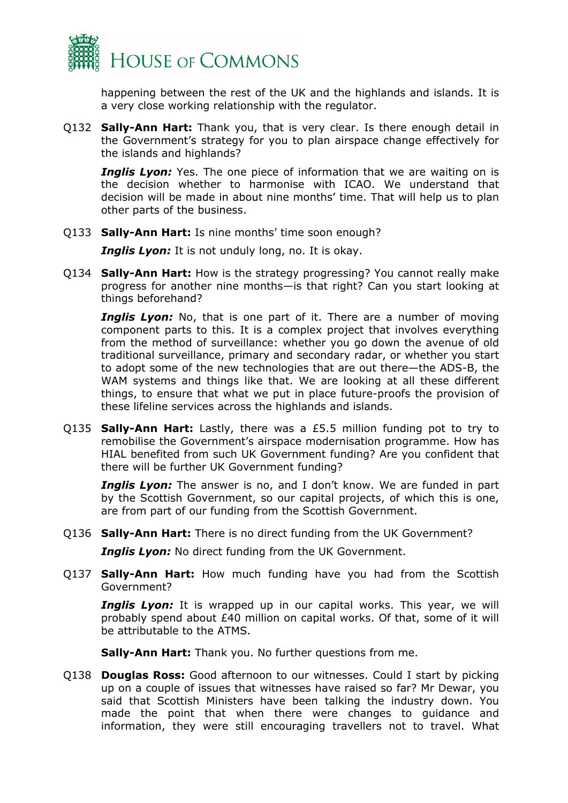

happening between the rest of the UK and the highlands and islands. It is a very close working relationship with the regulator.

Q132 **Sally-Ann Hart:** Thank you, that is very clear. Is there enough detail in the Government's strategy for you to plan airspace change effectively for the islands and highlands?

**Inglis Lyon:** Yes. The one piece of information that we are waiting on is the decision whether to harmonise with ICAO. We understand that decision will be made in about nine months' time. That will help us to plan other parts of the business.

Q133 **Sally-Ann Hart:** Is nine months' time soon enough?

*Inglis Lyon:* It is not unduly long, no. It is okay.

Q134 **Sally-Ann Hart:** How is the strategy progressing? You cannot really make progress for another nine months—is that right? Can you start looking at things beforehand?

**Inglis Lyon:** No, that is one part of it. There are a number of moving component parts to this. It is a complex project that involves everything from the method of surveillance: whether you go down the avenue of old traditional surveillance, primary and secondary radar, or whether you start to adopt some of the new technologies that are out there—the ADS-B, the WAM systems and things like that. We are looking at all these different things, to ensure that what we put in place future-proofs the provision of these lifeline services across the highlands and islands.

Q135 **Sally-Ann Hart:** Lastly, there was a £5.5 million funding pot to try to remobilise the Government's airspace modernisation programme. How has HIAL benefited from such UK Government funding? Are you confident that there will be further UK Government funding?

**Inglis Lyon:** The answer is no, and I don't know. We are funded in part by the Scottish Government, so our capital projects, of which this is one, are from part of our funding from the Scottish Government.

Q136 **Sally-Ann Hart:** There is no direct funding from the UK Government?

*Inglis Lyon:* No direct funding from the UK Government.

Q137 **Sally-Ann Hart:** How much funding have you had from the Scottish Government?

**Inglis Lyon:** It is wrapped up in our capital works. This year, we will probably spend about £40 million on capital works. Of that, some of it will be attributable to the ATMS.

**Sally-Ann Hart:** Thank you. No further questions from me.

Q138 **Douglas Ross:** Good afternoon to our witnesses. Could I start by picking up on a couple of issues that witnesses have raised so far? Mr Dewar, you said that Scottish Ministers have been talking the industry down. You made the point that when there were changes to guidance and information, they were still encouraging travellers not to travel. What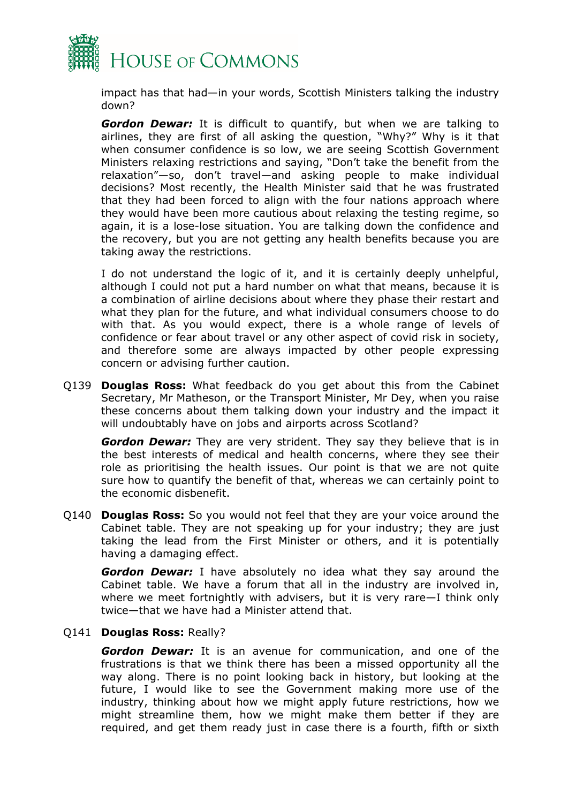

impact has that had—in your words, Scottish Ministers talking the industry down?

*Gordon Dewar:* It is difficult to quantify, but when we are talking to airlines, they are first of all asking the question, "Why?" Why is it that when consumer confidence is so low, we are seeing Scottish Government Ministers relaxing restrictions and saying, "Don't take the benefit from the relaxation"—so, don't travel—and asking people to make individual decisions? Most recently, the Health Minister said that he was frustrated that they had been forced to align with the four nations approach where they would have been more cautious about relaxing the testing regime, so again, it is a lose-lose situation. You are talking down the confidence and the recovery, but you are not getting any health benefits because you are taking away the restrictions.

I do not understand the logic of it, and it is certainly deeply unhelpful, although I could not put a hard number on what that means, because it is a combination of airline decisions about where they phase their restart and what they plan for the future, and what individual consumers choose to do with that. As you would expect, there is a whole range of levels of confidence or fear about travel or any other aspect of covid risk in society, and therefore some are always impacted by other people expressing concern or advising further caution.

Q139 **Douglas Ross:** What feedback do you get about this from the Cabinet Secretary, Mr Matheson, or the Transport Minister, Mr Dey, when you raise these concerns about them talking down your industry and the impact it will undoubtably have on jobs and airports across Scotland?

*Gordon Dewar:* They are very strident. They say they believe that is in the best interests of medical and health concerns, where they see their role as prioritising the health issues. Our point is that we are not quite sure how to quantify the benefit of that, whereas we can certainly point to the economic disbenefit.

Q140 **Douglas Ross:** So you would not feel that they are your voice around the Cabinet table. They are not speaking up for your industry; they are just taking the lead from the First Minister or others, and it is potentially having a damaging effect.

*Gordon Dewar:* I have absolutely no idea what they say around the Cabinet table. We have a forum that all in the industry are involved in, where we meet fortnightly with advisers, but it is very rare—I think only twice—that we have had a Minister attend that.

#### Q141 **Douglas Ross:** Really?

*Gordon Dewar:* It is an avenue for communication, and one of the frustrations is that we think there has been a missed opportunity all the way along. There is no point looking back in history, but looking at the future, I would like to see the Government making more use of the industry, thinking about how we might apply future restrictions, how we might streamline them, how we might make them better if they are required, and get them ready just in case there is a fourth, fifth or sixth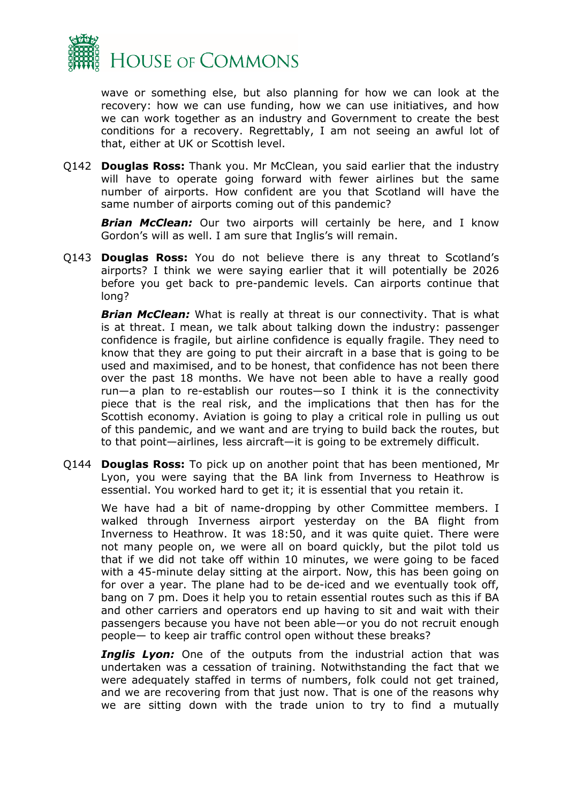

wave or something else, but also planning for how we can look at the recovery: how we can use funding, how we can use initiatives, and how we can work together as an industry and Government to create the best conditions for a recovery. Regrettably, I am not seeing an awful lot of that, either at UK or Scottish level.

Q142 **Douglas Ross:** Thank you. Mr McClean, you said earlier that the industry will have to operate going forward with fewer airlines but the same number of airports. How confident are you that Scotland will have the same number of airports coming out of this pandemic?

**Brian McClean:** Our two airports will certainly be here, and I know Gordon's will as well. I am sure that Inglis's will remain.

Q143 **Douglas Ross:** You do not believe there is any threat to Scotland's airports? I think we were saying earlier that it will potentially be 2026 before you get back to pre-pandemic levels. Can airports continue that long?

*Brian McClean:* What is really at threat is our connectivity. That is what is at threat. I mean, we talk about talking down the industry: passenger confidence is fragile, but airline confidence is equally fragile. They need to know that they are going to put their aircraft in a base that is going to be used and maximised, and to be honest, that confidence has not been there over the past 18 months. We have not been able to have a really good run—a plan to re-establish our routes—so I think it is the connectivity piece that is the real risk, and the implications that then has for the Scottish economy. Aviation is going to play a critical role in pulling us out of this pandemic, and we want and are trying to build back the routes, but to that point—airlines, less aircraft—it is going to be extremely difficult.

Q144 **Douglas Ross:** To pick up on another point that has been mentioned, Mr Lyon, you were saying that the BA link from Inverness to Heathrow is essential. You worked hard to get it; it is essential that you retain it.

We have had a bit of name-dropping by other Committee members. I walked through Inverness airport yesterday on the BA flight from Inverness to Heathrow. It was 18:50, and it was quite quiet. There were not many people on, we were all on board quickly, but the pilot told us that if we did not take off within 10 minutes, we were going to be faced with a 45-minute delay sitting at the airport. Now, this has been going on for over a year. The plane had to be de-iced and we eventually took off, bang on 7 pm. Does it help you to retain essential routes such as this if BA and other carriers and operators end up having to sit and wait with their passengers because you have not been able—or you do not recruit enough people— to keep air traffic control open without these breaks?

*Inglis Lyon:* One of the outputs from the industrial action that was undertaken was a cessation of training. Notwithstanding the fact that we were adequately staffed in terms of numbers, folk could not get trained, and we are recovering from that just now. That is one of the reasons why we are sitting down with the trade union to try to find a mutually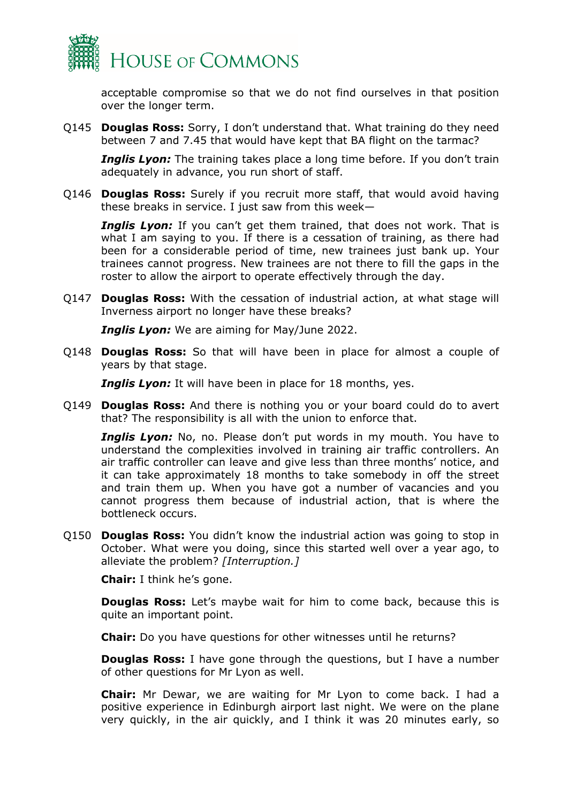

acceptable compromise so that we do not find ourselves in that position over the longer term.

Q145 **Douglas Ross:** Sorry, I don't understand that. What training do they need between 7 and 7.45 that would have kept that BA flight on the tarmac?

**Inglis Lyon:** The training takes place a long time before. If you don't train adequately in advance, you run short of staff.

Q146 **Douglas Ross:** Surely if you recruit more staff, that would avoid having these breaks in service. I just saw from this week—

**Inglis Lyon:** If you can't get them trained, that does not work. That is what I am saying to you. If there is a cessation of training, as there had been for a considerable period of time, new trainees just bank up. Your trainees cannot progress. New trainees are not there to fill the gaps in the roster to allow the airport to operate effectively through the day.

Q147 **Douglas Ross:** With the cessation of industrial action, at what stage will Inverness airport no longer have these breaks?

*Inglis Lyon:* We are aiming for May/June 2022.

Q148 **Douglas Ross:** So that will have been in place for almost a couple of years by that stage.

*Inglis Lyon:* It will have been in place for 18 months, yes.

Q149 **Douglas Ross:** And there is nothing you or your board could do to avert that? The responsibility is all with the union to enforce that.

**Inglis Lyon:** No, no. Please don't put words in my mouth. You have to understand the complexities involved in training air traffic controllers. An air traffic controller can leave and give less than three months' notice, and it can take approximately 18 months to take somebody in off the street and train them up. When you have got a number of vacancies and you cannot progress them because of industrial action, that is where the bottleneck occurs.

Q150 **Douglas Ross:** You didn't know the industrial action was going to stop in October. What were you doing, since this started well over a year ago, to alleviate the problem? *[Interruption.]*

**Chair:** I think he's gone.

**Douglas Ross:** Let's maybe wait for him to come back, because this is quite an important point.

**Chair:** Do you have questions for other witnesses until he returns?

**Douglas Ross:** I have gone through the questions, but I have a number of other questions for Mr Lyon as well.

**Chair:** Mr Dewar, we are waiting for Mr Lyon to come back. I had a positive experience in Edinburgh airport last night. We were on the plane very quickly, in the air quickly, and I think it was 20 minutes early, so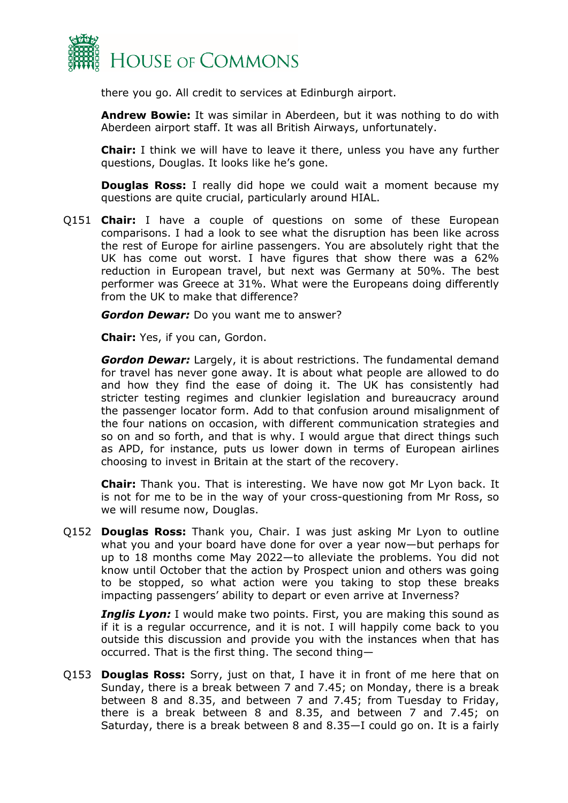

there you go. All credit to services at Edinburgh airport.

**Andrew Bowie:** It was similar in Aberdeen, but it was nothing to do with Aberdeen airport staff. It was all British Airways, unfortunately.

**Chair:** I think we will have to leave it there, unless you have any further questions, Douglas. It looks like he's gone.

**Douglas Ross:** I really did hope we could wait a moment because my questions are quite crucial, particularly around HIAL.

Q151 **Chair:** I have a couple of questions on some of these European comparisons. I had a look to see what the disruption has been like across the rest of Europe for airline passengers. You are absolutely right that the UK has come out worst. I have figures that show there was a 62% reduction in European travel, but next was Germany at 50%. The best performer was Greece at 31%. What were the Europeans doing differently from the UK to make that difference?

*Gordon Dewar:* Do you want me to answer?

**Chair:** Yes, if you can, Gordon.

*Gordon Dewar:* Largely, it is about restrictions. The fundamental demand for travel has never gone away. It is about what people are allowed to do and how they find the ease of doing it. The UK has consistently had stricter testing regimes and clunkier legislation and bureaucracy around the passenger locator form. Add to that confusion around misalignment of the four nations on occasion, with different communication strategies and so on and so forth, and that is why. I would argue that direct things such as APD, for instance, puts us lower down in terms of European airlines choosing to invest in Britain at the start of the recovery.

**Chair:** Thank you. That is interesting. We have now got Mr Lyon back. It is not for me to be in the way of your cross-questioning from Mr Ross, so we will resume now, Douglas.

Q152 **Douglas Ross:** Thank you, Chair. I was just asking Mr Lyon to outline what you and your board have done for over a year now—but perhaps for up to 18 months come May 2022—to alleviate the problems. You did not know until October that the action by Prospect union and others was going to be stopped, so what action were you taking to stop these breaks impacting passengers' ability to depart or even arrive at Inverness?

**Inglis Lyon:** I would make two points. First, you are making this sound as if it is a regular occurrence, and it is not. I will happily come back to you outside this discussion and provide you with the instances when that has occurred. That is the first thing. The second thing—

Q153 **Douglas Ross:** Sorry, just on that, I have it in front of me here that on Sunday, there is a break between 7 and 7.45; on Monday, there is a break between 8 and 8.35, and between 7 and 7.45; from Tuesday to Friday, there is a break between 8 and 8.35, and between 7 and 7.45; on Saturday, there is a break between 8 and 8.35—I could go on. It is a fairly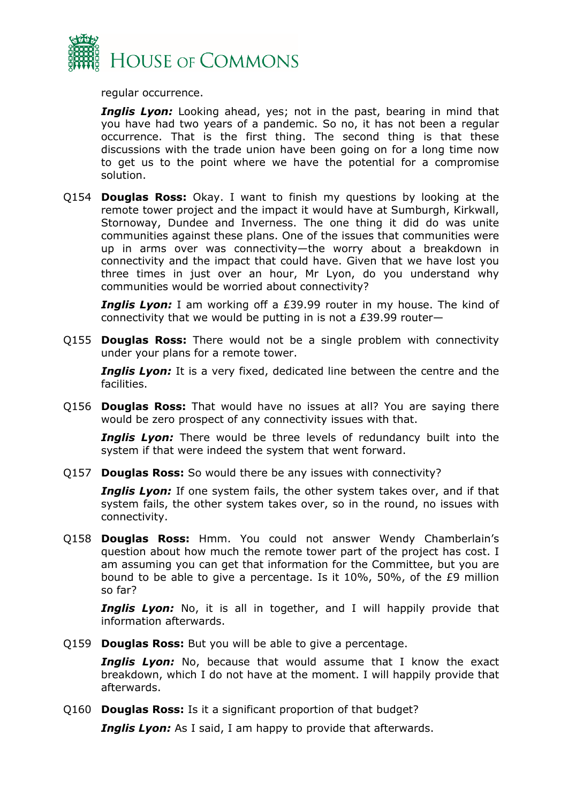

regular occurrence.

*Inglis Lyon:* Looking ahead, yes; not in the past, bearing in mind that you have had two years of a pandemic. So no, it has not been a regular occurrence. That is the first thing. The second thing is that these discussions with the trade union have been going on for a long time now to get us to the point where we have the potential for a compromise solution.

Q154 **Douglas Ross:** Okay. I want to finish my questions by looking at the remote tower project and the impact it would have at Sumburgh, Kirkwall, Stornoway, Dundee and Inverness. The one thing it did do was unite communities against these plans. One of the issues that communities were up in arms over was connectivity—the worry about a breakdown in connectivity and the impact that could have. Given that we have lost you three times in just over an hour, Mr Lyon, do you understand why communities would be worried about connectivity?

**Inglis Lyon:** I am working off a £39.99 router in my house. The kind of connectivity that we would be putting in is not a £39.99 router—

Q155 **Douglas Ross:** There would not be a single problem with connectivity under your plans for a remote tower.

**Inglis Lyon:** It is a very fixed, dedicated line between the centre and the facilities.

Q156 **Douglas Ross:** That would have no issues at all? You are saying there would be zero prospect of any connectivity issues with that.

**Inglis Lyon:** There would be three levels of redundancy built into the system if that were indeed the system that went forward.

Q157 **Douglas Ross:** So would there be any issues with connectivity?

**Inglis Lyon:** If one system fails, the other system takes over, and if that system fails, the other system takes over, so in the round, no issues with connectivity.

Q158 **Douglas Ross:** Hmm. You could not answer Wendy Chamberlain's question about how much the remote tower part of the project has cost. I am assuming you can get that information for the Committee, but you are bound to be able to give a percentage. Is it 10%, 50%, of the £9 million so far?

**Inglis Lyon:** No, it is all in together, and I will happily provide that information afterwards.

Q159 **Douglas Ross:** But you will be able to give a percentage.

**Inglis Lyon:** No, because that would assume that I know the exact breakdown, which I do not have at the moment. I will happily provide that afterwards.

Q160 **Douglas Ross:** Is it a significant proportion of that budget?

*Inglis Lyon:* As I said, I am happy to provide that afterwards.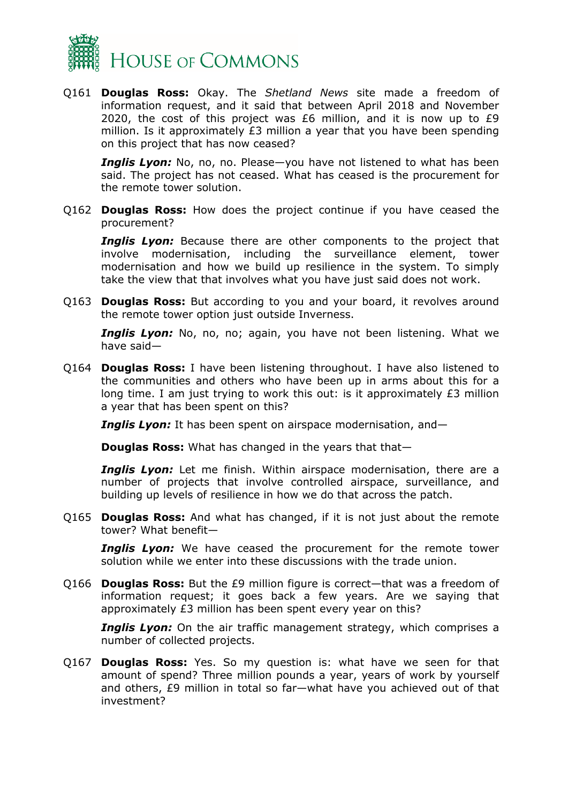

Q161 **Douglas Ross:** Okay. The *Shetland News* site made a freedom of information request, and it said that between April 2018 and November 2020, the cost of this project was £6 million, and it is now up to £9 million. Is it approximately £3 million a year that you have been spending on this project that has now ceased?

*Inglis Lyon:* No, no, no. Please—you have not listened to what has been said. The project has not ceased. What has ceased is the procurement for the remote tower solution.

Q162 **Douglas Ross:** How does the project continue if you have ceased the procurement?

**Inglis Lyon:** Because there are other components to the project that involve modernisation, including the surveillance element, tower modernisation and how we build up resilience in the system. To simply take the view that that involves what you have just said does not work.

Q163 **Douglas Ross:** But according to you and your board, it revolves around the remote tower option just outside Inverness.

**Inglis Lyon:** No, no, no; again, you have not been listening. What we have said—

Q164 **Douglas Ross:** I have been listening throughout. I have also listened to the communities and others who have been up in arms about this for a long time. I am just trying to work this out: is it approximately £3 million a year that has been spent on this?

*Inglis Lyon:* It has been spent on airspace modernisation, and—

**Douglas Ross:** What has changed in the years that that-

**Inglis Lyon:** Let me finish. Within airspace modernisation, there are a number of projects that involve controlled airspace, surveillance, and building up levels of resilience in how we do that across the patch.

Q165 **Douglas Ross:** And what has changed, if it is not just about the remote tower? What benefit—

*Inglis Lyon:* We have ceased the procurement for the remote tower solution while we enter into these discussions with the trade union.

Q166 **Douglas Ross:** But the £9 million figure is correct—that was a freedom of information request; it goes back a few years. Are we saying that approximately £3 million has been spent every year on this?

**Inglis Lyon:** On the air traffic management strategy, which comprises a number of collected projects.

Q167 **Douglas Ross:** Yes. So my question is: what have we seen for that amount of spend? Three million pounds a year, years of work by yourself and others, £9 million in total so far—what have you achieved out of that investment?